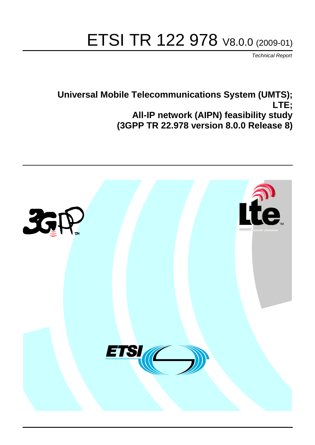# ETSI TR 122 978 V8.0.0 (2009-01)

*Technical Report*

## **Universal Mobile Telecommunications System (UMTS); LTE; All-IP network (AIPN) feasibility study (3GPP TR 22.978 version 8.0.0 Release 8)**

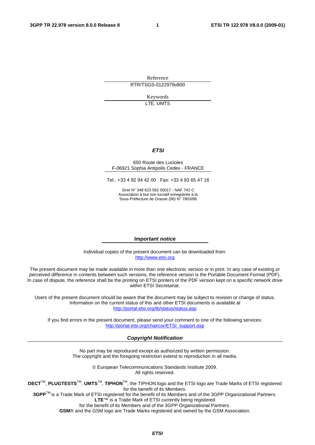Reference RTR/TSGS-0122978v800

> Keywords LTE, UMTS

### *ETSI*

#### 650 Route des Lucioles F-06921 Sophia Antipolis Cedex - FRANCE

Tel.: +33 4 92 94 42 00 Fax: +33 4 93 65 47 16

Siret N° 348 623 562 00017 - NAF 742 C Association à but non lucratif enregistrée à la Sous-Préfecture de Grasse (06) N° 7803/88

#### *Important notice*

Individual copies of the present document can be downloaded from: [http://www.etsi.org](http://www.etsi.org/)

The present document may be made available in more than one electronic version or in print. In any case of existing or perceived difference in contents between such versions, the reference version is the Portable Document Format (PDF). In case of dispute, the reference shall be the printing on ETSI printers of the PDF version kept on a specific network drive within ETSI Secretariat.

Users of the present document should be aware that the document may be subject to revision or change of status. Information on the current status of this and other ETSI documents is available at <http://portal.etsi.org/tb/status/status.asp>

If you find errors in the present document, please send your comment to one of the following services: [http://portal.etsi.org/chaircor/ETSI\\_support.asp](http://portal.etsi.org/chaircor/ETSI_support.asp)

#### *Copyright Notification*

No part may be reproduced except as authorized by written permission. The copyright and the foregoing restriction extend to reproduction in all media.

> © European Telecommunications Standards Institute 2009. All rights reserved.

**DECT**TM, **PLUGTESTS**TM, **UMTS**TM, **TIPHON**TM, the TIPHON logo and the ETSI logo are Trade Marks of ETSI registered for the benefit of its Members.

**3GPP**TM is a Trade Mark of ETSI registered for the benefit of its Members and of the 3GPP Organizational Partners. **LTE**™ is a Trade Mark of ETSI currently being registered

for the benefit of its Members and of the 3GPP Organizational Partners.

**GSM**® and the GSM logo are Trade Marks registered and owned by the GSM Association.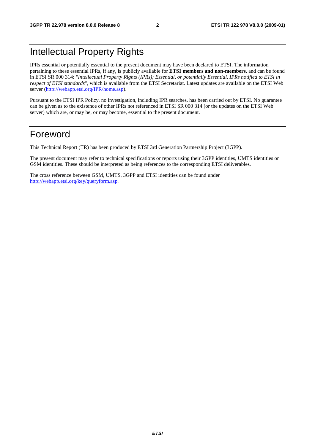## Intellectual Property Rights

IPRs essential or potentially essential to the present document may have been declared to ETSI. The information pertaining to these essential IPRs, if any, is publicly available for **ETSI members and non-members**, and can be found in ETSI SR 000 314: *"Intellectual Property Rights (IPRs); Essential, or potentially Essential, IPRs notified to ETSI in respect of ETSI standards"*, which is available from the ETSI Secretariat. Latest updates are available on the ETSI Web server ([http://webapp.etsi.org/IPR/home.asp\)](http://webapp.etsi.org/IPR/home.asp).

Pursuant to the ETSI IPR Policy, no investigation, including IPR searches, has been carried out by ETSI. No guarantee can be given as to the existence of other IPRs not referenced in ETSI SR 000 314 (or the updates on the ETSI Web server) which are, or may be, or may become, essential to the present document.

## Foreword

This Technical Report (TR) has been produced by ETSI 3rd Generation Partnership Project (3GPP).

The present document may refer to technical specifications or reports using their 3GPP identities, UMTS identities or GSM identities. These should be interpreted as being references to the corresponding ETSI deliverables.

The cross reference between GSM, UMTS, 3GPP and ETSI identities can be found under [http://webapp.etsi.org/key/queryform.asp.](http://webapp.etsi.org/key/queryform.asp)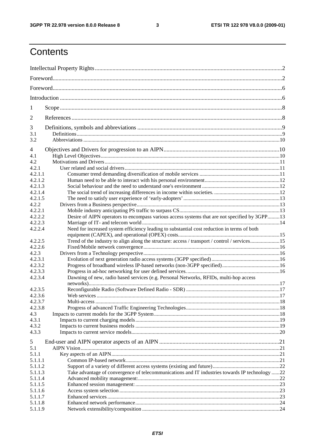#### $\mathbf{3}$

## Contents

| 1       |                                                                                                |  |  |  |  |  |  |  |  |
|---------|------------------------------------------------------------------------------------------------|--|--|--|--|--|--|--|--|
| 2       |                                                                                                |  |  |  |  |  |  |  |  |
| 3       |                                                                                                |  |  |  |  |  |  |  |  |
| 3.1     |                                                                                                |  |  |  |  |  |  |  |  |
| 3.2     |                                                                                                |  |  |  |  |  |  |  |  |
| 4       |                                                                                                |  |  |  |  |  |  |  |  |
| 4.1     |                                                                                                |  |  |  |  |  |  |  |  |
| 4.2     |                                                                                                |  |  |  |  |  |  |  |  |
| 4.2.1   |                                                                                                |  |  |  |  |  |  |  |  |
| 4.2.1.1 |                                                                                                |  |  |  |  |  |  |  |  |
| 4.2.1.2 |                                                                                                |  |  |  |  |  |  |  |  |
| 4.2.1.3 |                                                                                                |  |  |  |  |  |  |  |  |
| 4.2.1.4 |                                                                                                |  |  |  |  |  |  |  |  |
| 4.2.1.5 |                                                                                                |  |  |  |  |  |  |  |  |
| 4.2.2   |                                                                                                |  |  |  |  |  |  |  |  |
| 4.2.2.1 |                                                                                                |  |  |  |  |  |  |  |  |
| 4.2.2.2 | Desire of AIPN operators to encompass various access systems that are not specified by 3GPP13  |  |  |  |  |  |  |  |  |
| 4.2.2.3 |                                                                                                |  |  |  |  |  |  |  |  |
| 4.2.2.4 | Need for increased system efficiency leading to substantial cost reduction in terms of both    |  |  |  |  |  |  |  |  |
| 4.2.2.5 | Trend of the industry to align along the structure: access / transport / control / services15  |  |  |  |  |  |  |  |  |
| 4.2.2.6 |                                                                                                |  |  |  |  |  |  |  |  |
| 4.2.3   |                                                                                                |  |  |  |  |  |  |  |  |
| 4.2.3.1 |                                                                                                |  |  |  |  |  |  |  |  |
| 4.2.3.2 |                                                                                                |  |  |  |  |  |  |  |  |
| 4.2.3.3 |                                                                                                |  |  |  |  |  |  |  |  |
| 4.2.3.4 | Dawning of new, radio based services (e.g. Personal Networks, RFIDs, multi-hop access          |  |  |  |  |  |  |  |  |
| 4.2.3.5 |                                                                                                |  |  |  |  |  |  |  |  |
| 4.2.3.6 |                                                                                                |  |  |  |  |  |  |  |  |
| 4.2.3.7 |                                                                                                |  |  |  |  |  |  |  |  |
| 4.2.3.8 |                                                                                                |  |  |  |  |  |  |  |  |
| 4.3     |                                                                                                |  |  |  |  |  |  |  |  |
| 4.3.1   |                                                                                                |  |  |  |  |  |  |  |  |
| 4.3.2   |                                                                                                |  |  |  |  |  |  |  |  |
| 4.3.3   |                                                                                                |  |  |  |  |  |  |  |  |
| 5       |                                                                                                |  |  |  |  |  |  |  |  |
| 5.1     |                                                                                                |  |  |  |  |  |  |  |  |
| 5.1.1   |                                                                                                |  |  |  |  |  |  |  |  |
| 5.1.1.1 |                                                                                                |  |  |  |  |  |  |  |  |
| 5.1.1.2 |                                                                                                |  |  |  |  |  |  |  |  |
| 5.1.1.3 | Take advantage of convergence of telecommunications and IT industries towards IP technology 22 |  |  |  |  |  |  |  |  |
| 5.1.1.4 |                                                                                                |  |  |  |  |  |  |  |  |
| 5.1.1.5 |                                                                                                |  |  |  |  |  |  |  |  |
| 5.1.1.6 |                                                                                                |  |  |  |  |  |  |  |  |
| 5.1.1.7 |                                                                                                |  |  |  |  |  |  |  |  |
| 5.1.1.8 |                                                                                                |  |  |  |  |  |  |  |  |
| 5.1.1.9 |                                                                                                |  |  |  |  |  |  |  |  |
|         |                                                                                                |  |  |  |  |  |  |  |  |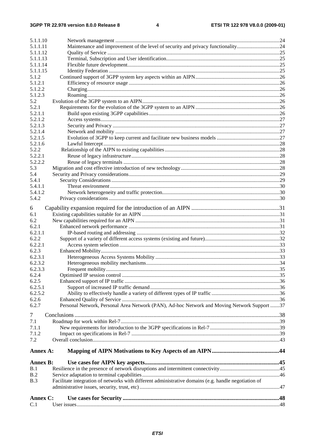| 5.1.1.10         |                                                                                                      |  |
|------------------|------------------------------------------------------------------------------------------------------|--|
| 5.1.1.11         | Maintenance and improvement of the level of security and privacy functionality24                     |  |
| 5.1.1.12         |                                                                                                      |  |
| 5.1.1.13         |                                                                                                      |  |
| 5.1.1.14         |                                                                                                      |  |
| 5.1.1.15         |                                                                                                      |  |
| 5.1.2            |                                                                                                      |  |
| 5.1.2.1          |                                                                                                      |  |
| 5.1.2.2          |                                                                                                      |  |
| 5.1.2.3          |                                                                                                      |  |
| 5.2              |                                                                                                      |  |
| 5.2.1            |                                                                                                      |  |
| 5.2.1.1          |                                                                                                      |  |
| 5.2.1.2          |                                                                                                      |  |
| 5.2.1.3          |                                                                                                      |  |
| 5.2.1.4          |                                                                                                      |  |
| 5.2.1.5          |                                                                                                      |  |
| 5.2.1.6<br>5.2.2 |                                                                                                      |  |
| 5.2.2.1          |                                                                                                      |  |
| 5.2.2.2          |                                                                                                      |  |
| 5.3              |                                                                                                      |  |
| 5.4              |                                                                                                      |  |
| 5.4.1            |                                                                                                      |  |
| 5.4.1.1          |                                                                                                      |  |
| 5.4.1.2          |                                                                                                      |  |
| 5.4.2            |                                                                                                      |  |
|                  |                                                                                                      |  |
| 6                |                                                                                                      |  |
| 6.1              |                                                                                                      |  |
| 6.2              |                                                                                                      |  |
| 6.2.1            |                                                                                                      |  |
| 6.2.1.1          |                                                                                                      |  |
| 6.2.2            |                                                                                                      |  |
| 6.2.2.1          |                                                                                                      |  |
| 6.2.3            |                                                                                                      |  |
| 6.2.3.1          |                                                                                                      |  |
| 6.2.3.2          |                                                                                                      |  |
| 6.2.3.3<br>6.2.4 |                                                                                                      |  |
| 6.2.5            |                                                                                                      |  |
| 6.2.5.1          |                                                                                                      |  |
| 6.2.5.2          |                                                                                                      |  |
| 6.2.6            |                                                                                                      |  |
| 6.2.7            | Personal Network, Personal Area Network (PAN), Ad-hoc Network and Moving Network Support 37          |  |
|                  |                                                                                                      |  |
| $\tau$           |                                                                                                      |  |
| 7.1              |                                                                                                      |  |
| 7.1.1            |                                                                                                      |  |
| 7.1.2            |                                                                                                      |  |
| 7.2              |                                                                                                      |  |
|                  |                                                                                                      |  |
| Annex A:         |                                                                                                      |  |
| <b>Annex B:</b>  |                                                                                                      |  |
| B.1              |                                                                                                      |  |
| B.2              |                                                                                                      |  |
| B.3              | Facilitate integration of networks with different administrative domains (e.g. handle negotiation of |  |
|                  |                                                                                                      |  |
|                  |                                                                                                      |  |
| Annex C:         |                                                                                                      |  |
| C.1              |                                                                                                      |  |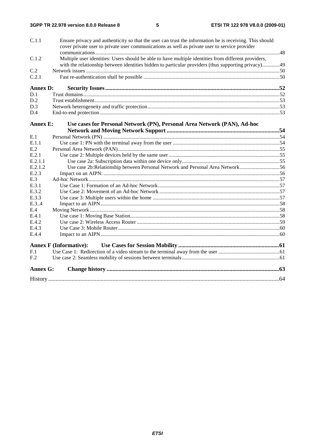| C.1.1           | Ensure privacy and authenticity so that the user can trust the information he is receiving. This should<br>cover private user to private user communications as well as private user to service provider |  |
|-----------------|----------------------------------------------------------------------------------------------------------------------------------------------------------------------------------------------------------|--|
|                 |                                                                                                                                                                                                          |  |
| C.1.2           | Multiple user identities: Users should be able to have multiple identities from different providers,                                                                                                     |  |
|                 | with the relationship between identities hidden to particular providers (thus supporting privacy)49                                                                                                      |  |
| C.2             |                                                                                                                                                                                                          |  |
| C.2.1           |                                                                                                                                                                                                          |  |
|                 |                                                                                                                                                                                                          |  |
| <b>Annex D:</b> |                                                                                                                                                                                                          |  |
| D.1             |                                                                                                                                                                                                          |  |
| D.2             |                                                                                                                                                                                                          |  |
| D.3             |                                                                                                                                                                                                          |  |
| D.4             |                                                                                                                                                                                                          |  |
| <b>Annex E:</b> | Use cases for Personal Network (PN), Personal Area Network (PAN), Ad-hoc                                                                                                                                 |  |
|                 |                                                                                                                                                                                                          |  |
| E.1             |                                                                                                                                                                                                          |  |
| E.1.1           |                                                                                                                                                                                                          |  |
| E.2             |                                                                                                                                                                                                          |  |
| E.2.1           |                                                                                                                                                                                                          |  |
| E.2.1.1         |                                                                                                                                                                                                          |  |
| E.2.1.2         | Use case 2b:Relationship between Personal Network and Personal Area Network56                                                                                                                            |  |
| E.2.3           |                                                                                                                                                                                                          |  |
| E.3             |                                                                                                                                                                                                          |  |
| E.3.1           |                                                                                                                                                                                                          |  |
| E.3.2           |                                                                                                                                                                                                          |  |
| E.3.3           |                                                                                                                                                                                                          |  |
| E.3.4           |                                                                                                                                                                                                          |  |
| E.4             |                                                                                                                                                                                                          |  |
| E.4.1           |                                                                                                                                                                                                          |  |
| E.4.2           |                                                                                                                                                                                                          |  |
| E.4.3           |                                                                                                                                                                                                          |  |
| E.4.4           |                                                                                                                                                                                                          |  |
|                 | <b>Annex F (Informative):</b>                                                                                                                                                                            |  |
| F.1             |                                                                                                                                                                                                          |  |
| F.2             |                                                                                                                                                                                                          |  |
| <b>Annex G:</b> |                                                                                                                                                                                                          |  |
|                 |                                                                                                                                                                                                          |  |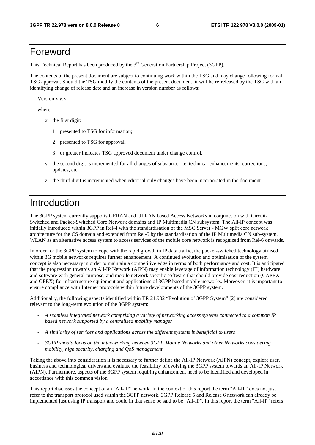## Foreword

This Technical Report has been produced by the  $3<sup>rd</sup>$  Generation Partnership Project (3GPP).

The contents of the present document are subject to continuing work within the TSG and may change following formal TSG approval. Should the TSG modify the contents of the present document, it will be re-released by the TSG with an identifying change of release date and an increase in version number as follows:

Version x.y.z

where:

- x the first digit:
	- 1 presented to TSG for information;
	- 2 presented to TSG for approval;
	- 3 or greater indicates TSG approved document under change control.
- y the second digit is incremented for all changes of substance, i.e. technical enhancements, corrections, updates, etc.
- z the third digit is incremented when editorial only changes have been incorporated in the document.

## Introduction

The 3GPP system currently supports GERAN and UTRAN based Access Networks in conjunction with Circuit-Switched and Packet-Switched Core Network domains and IP Multimedia CN subsystem. The All-IP concept was initially introduced within 3GPP in Rel-4 with the standardisation of the MSC Server - MGW split core network architecture for the CS domain and extended from Rel-5 by the standardisation of the IP Multimedia CN sub-system. WLAN as an alternative access system to access services of the mobile core network is recognized from Rel-6 onwards.

In order for the 3GPP system to cope with the rapid growth in IP data traffic, the packet-switched technology utilised within 3G mobile networks requires further enhancement. A continued evolution and optimisation of the system concept is also necessary in order to maintain a competitive edge in terms of both performance and cost. It is anticipated that the progression towards an All-IP Network (AIPN) may enable leverage of information technology (IT) hardware and software with general-purpose, and mobile network specific software that should provide cost reduction (CAPEX and OPEX) for infrastructure equipment and applications of 3GPP based mobile networks. Moreover, it is important to ensure compliance with Internet protocols within future developments of the 3GPP system.

Additionally, the following aspects identified within TR 21.902 "Evolution of 3GPP System" [2] are considered relevant to the long-term evolution of the 3GPP system:

- *A seamless integrated network comprising a variety of networking access systems connected to a common IP based network supported by a centralised mobility manager*
- *A similarity of services and applications across the different systems is beneficial to users*
- *3GPP should focus on the inter-working between 3GPP Mobile Networks and other Networks considering mobility, high security, charging and QoS management*

Taking the above into consideration it is necessary to further define the All-IP Network (AIPN) concept, explore user, business and technological drivers and evaluate the feasibility of evolving the 3GPP system towards an All-IP Network (AIPN). Furthermore, aspects of the 3GPP system requiring enhancement need to be identified and developed in accordance with this common vision.

This report discusses the concept of an "All-IP" network. In the context of this report the term "All-IP" does not just refer to the transport protocol used within the 3GPP network. 3GPP Release 5 and Release 6 network can already be implemented just using IP transport and could in that sense be said to be "All-IP". In this report the term "All-IP" refers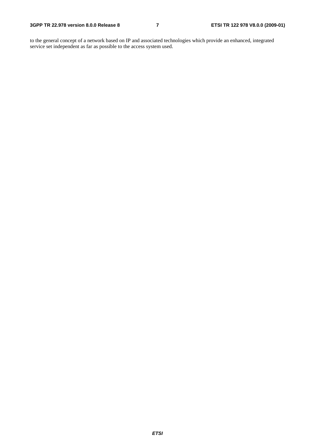to the general concept of a network based on IP and associated technologies which provide an enhanced, integrated service set independent as far as possible to the access system used.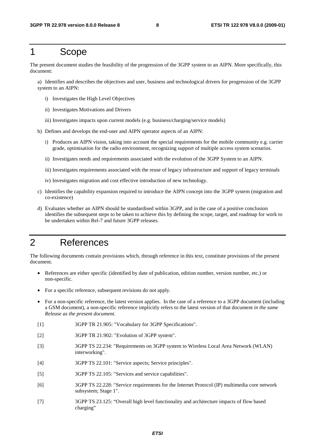## 1 Scope

The present document studies the feasibility of the progression of the 3GPP system to an AIPN. More specifically, this document:

a) Identifies and describes the objectives and user, business and technological drivers for progression of the 3GPP system to an AIPN:

- i) Investigates the High Level Objectives
- ii) Investigates Motivations and Drivers
- iii) Investigates impacts upon current models (e.g. business/charging/service models)
- b) Defines and develops the end-user and AIPN operator aspects of an AIPN:
	- i) Produces an AIPN vision, taking into account the special requirements for the mobile community e.g. carrier grade, optimisation for the radio environment, recognizing support of multiple access system scenarios.
	- ii) Investigates needs and requirements associated with the evolution of the 3GPP System to an AIPN.
	- iii) Investigates requirements associated with the reuse of legacy infrastructure and support of legacy terminals
	- iv) Investigates migration and cost effective introduction of new technology.
- c) Identifies the capability expansion required to introduce the AIPN concept into the 3GPP system (migration and co-existence)
- d) Evaluates whether an AIPN should be standardised within 3GPP, and in the case of a positive conclusion identifies the subsequent steps to be taken to achieve this by defining the scope, target, and roadmap for work to be undertaken within Rel-7 and future 3GPP releases.

## 2 References

The following documents contain provisions which, through reference in this text, constitute provisions of the present document.

- References are either specific (identified by date of publication, edition number, version number, etc.) or non-specific.
- For a specific reference, subsequent revisions do not apply.
- For a non-specific reference, the latest version applies. In the case of a reference to a 3GPP document (including a GSM document), a non-specific reference implicitly refers to the latest version of that document *in the same Release as the present document*.
- [1] 3GPP TR 21.905: "Vocabulary for 3GPP Specifications".
- [2] 3GPP TR 21.902: "Evolution of 3GPP system".
- [3] 3GPP TS 22.234: "Requirements on 3GPP system to Wireless Local Area Network (WLAN) interworking".
- [4] 3GPP TS 22.101: "Service aspects; Service principles".
- [5] 3GPP TS 22.105: "Services and service capabilities".
- [6] 3GPP TS 22.228: "Service requirements for the Internet Protocol (IP) multimedia core network subsystem; Stage 1".
- [7] 3GPP TS 23.125: "Overall high level functionality and architecture impacts of flow based charging"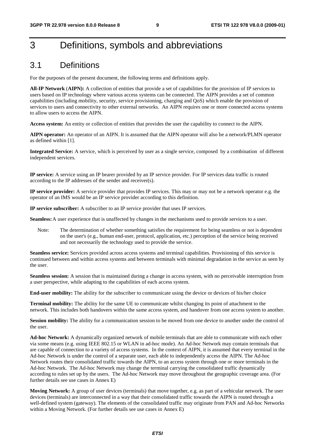## 3 Definitions, symbols and abbreviations

## 3.1 Definitions

For the purposes of the present document, the following terms and definitions apply.

**All-IP Network** (**AIPN):** A collection of entities that provide a set of capabilities for the provision of IP services to users based on IP technology where various access systems can be connected. The AIPN provides a set of common capabilities (including mobility, security, service provisioning, charging and QoS) which enable the provision of services to users and connectivity to other external networks. An AIPN requires one or more connected access systems to allow users to access the AIPN.

**Access system:** An entity or collection of entities that provides the user the capability to connect to the AIPN.

**AIPN operator:** An operator of an AIPN. It is assumed that the AIPN operator will also be a network/PLMN operator as defined within [1].

**Integrated Service:** A service, which is perceived by user as a single service, composed by a combination of different independent services.

**IP service:** A service using an IP bearer provided by an IP service provider. For IP services data traffic is routed according to the IP addresses of the sender and receiver(s).

**IP service provider:** A service provider that provides IP services. This may or may not be a network operator e.g. the operator of an IMS would be an IP service provider according to this definition.

**IP service subscriber:** A subscriber to an IP service provider that uses IP services.

**Seamless:** A user experience that is unaffected by changes in the mechanisms used to provide services to a user.

Note: The determination of whether something satisfies the requirement for being seamless or not is dependent on the user's (e.g., human end-user, protocol, application, etc.) perception of the service being received and not necessarily the technology used to provide the service.

**Seamless service:** Services provided across access systems and terminal capabilities. Provisioning of this service is continued between and within access systems and between terminals with minimal degradation in the service as seen by the user.

**Seamless session:** A session that is maintained during a change in access system, with no perceivable interruption from a user perspective, while adapting to the capabilities of each access system.

**End-user mobility:** The ability for the subscriber to communicate using the device or devices of his/her choice

**Terminal mobility:** The ability for the same UE to communicate whilst changing its point of attachment to the network. This includes both handovers within the same access system, and handover from one access system to another.

**Session mobility:** The ability for a communication session to be moved from one device to another under the control of the user.

**Ad-hoc Network:** A dynamically organized network of mobile terminals that are able to communicate with each other via some means (e.g. using IEEE 802.15 or WLAN in ad-hoc mode). An Ad-hoc Network may contain terminals that are capable of connection to a variety of access systems. In the context of AIPN, it is assumed that every terminal in the Ad-hoc Network is under the control of a separate user, each able to independently access the AIPN. The Ad-hoc Network routes their consolidated traffic towards the AIPN, to an access system through one or more terminals in the Ad-hoc Network. The Ad-hoc Network may change the terminal carrying the consolidated traffic dynamically according to rules set up by the users. The Ad-hoc Network may move throughout the geographic coverage area. (For further details see use cases in Annex E)

**Moving Network:** A group of user devices (terminals) that move together, e.g. as part of a vehicular network. The user devices (terminals) are interconnected in a way that their consolidated traffic towards the AIPN is routed through a well-defined system (gateway). The elements of the consolidated traffic may originate from PAN and Ad-hoc Networks within a Moving Network. (For further details see use cases in Annex E)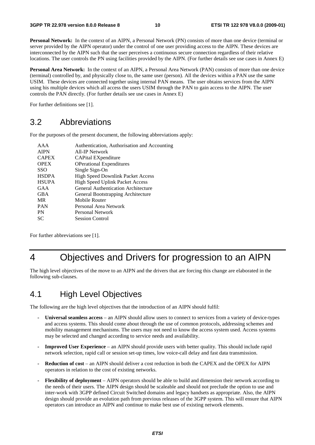**Personal Network:** In the context of an AIPN, a Personal Network (PN) consists of more than one device (terminal or server provided by the AIPN operator) under the control of one user providing access to the AIPN. These devices are interconnected by the AIPN such that the user perceives a continuous secure connection regardless of their relative locations. The user controls the PN using facilities provided by the AIPN. (For further details see use cases in Annex E)

**Personal Area Network:** In the context of an AIPN, a Personal Area Network (PAN) consists of more than one device (terminal) controlled by, and physically close to, the same user (person). All the devices within a PAN use the same USIM. These devices are connected together using internal PAN means. The user obtains services from the AIPN using his multiple devices which all access the users USIM through the PAN to gain access to the AIPN. The user controls the PAN directly. (For further details see use cases in Annex E)

For further definitions see [1].

## 3.2 Abbreviations

For the purposes of the present document, the following abbreviations apply:

| AAA          | Authentication, Authorisation and Accounting |
|--------------|----------------------------------------------|
| <b>AIPN</b>  | All-IP Network                               |
| <b>CAPEX</b> | CAPital EXpenditure                          |
| <b>OPEX</b>  | <b>OPerational Expenditures</b>              |
| <b>SSO</b>   | Single Sign-On                               |
| <b>HSDPA</b> | <b>High Speed Downlink Packet Access</b>     |
| <b>HSUPA</b> | <b>High Speed Uplink Packet Access</b>       |
| GAA          | <b>General Authentication Architecture</b>   |
| <b>GBA</b>   | General Bootstrapping Architecture           |
| MR           | Mobile Router                                |
| <b>PAN</b>   | Personal Area Network                        |
| PN           | Personal Network                             |
| SС           | <b>Session Control</b>                       |
|              |                                              |

For further abbreviations see [1].

## 4 Objectives and Drivers for progression to an AIPN

The high level objectives of the move to an AIPN and the drivers that are forcing this change are elaborated in the following sub-clauses.

## 4.1 High Level Objectives

The following are the high level objectives that the introduction of an AIPN should fulfil:

- **Universal seamless access** an AIPN should allow users to connect to services from a variety of device-types and access systems. This should come about through the use of common protocols, addressing schemes and mobility management mechanisms. The users may not need to know the access system used. Access systems may be selected and changed according to service needs and availability.
- **Improved User Experience**  an AIPN should provide users with better quality. This should include rapid network selection, rapid call or session set-up times, low voice-call delay and fast data transmission.
- **Reduction of cost** an AIPN should deliver a cost reduction in both the CAPEX and the OPEX for AIPN operators in relation to the cost of existing networks.
- **Flexibility of deployment** AIPN operators should be able to build and dimension their network according to the needs of their users. The AIPN design should be scaleable and should not preclude the option to use and inter-work with 3GPP defined Circuit Switched domains and legacy handsets as appropriate. Also, the AIPN design should provide an evolution path from previous releases of the 3GPP system. This will ensure that AIPN operators can introduce an AIPN and continue to make best use of existing network elements.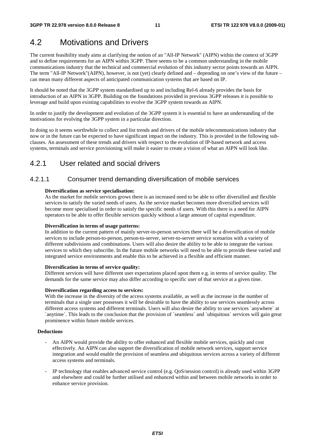## 4.2 Motivations and Drivers

The current feasibility study aims at clarifying the notion of an "All-IP Network" (AIPN) within the context of 3GPP and to define requirements for an AIPN within 3GPP. There seems to be a common understanding in the mobile communications industry that the technical and commercial evolution of this industry sector points towards an AIPN. The term "All-IP Network"(AIPN), however, is not (yet) clearly defined and – depending on one's view of the future – can mean many different aspects of anticipated communication systems that are based on IP.

It should be noted that the 3GPP system standardised up to and including Rel-6 already provides the basis for introduction of an AIPN in 3GPP. Building on the foundations provided in previous 3GPP releases it is possible to leverage and build upon existing capabilities to evolve the 3GPP system towards an AIPN.

In order to justify the development and evolution of the 3GPP system it is essential to have an understanding of the motivations for evolving the 3GPP system in a particular direction.

In doing so it seems worthwhile to collect and list trends and drivers of the mobile telecommunications industry that now or in the future can be expected to have significant impact on the industry. This is provided in the following subclauses. An assessment of these trends and drivers with respect to the evolution of IP-based network and access systems, terminals and service provisioning will make it easier to create a vision of what an AIPN will look like.

## 4.2.1 User related and social drivers

## 4.2.1.1 Consumer trend demanding diversification of mobile services

#### **Diversification as service specialisation:**

As the market for mobile services grows there is an increased need to be able to offer diversified and flexible services to satisfy the varied needs of users. As the service market becomes more diversified services will become more specialised in order to satisfy the specific needs of users. With this there is a need for AIPN operators to be able to offer flexible services quickly without a large amount of capital expenditure.

### **Diversification in terms of usage patterns:**

In addition to the current pattern of mainly server-to-person services there will be a diversification of mobile services to include person-to-person, person-to-server, server-to-server service scenarios with a variety of different subdivisions and combinations. Users will also desire the ability to be able to integrate the various services to which they subscribe. In the future mobile networks will need to be able to provide these varied and integrated service environments and enable this to be achieved in a flexible and efficient manner.

#### **Diversification in terms of service quality:**

Different services will have different user expectations placed upon them e.g. in terms of service quality. The demands for the same service may also differ according to specific user of that service at a given time.

#### **Diversification regarding access to services:**

With the increase in the diversity of the access systems available, as well as the increase in the number of terminals that a single user possesses it will be desirable to have the ability to use services seamlessly across different access systems and different terminals. Users will also desire the ability to use services `anywhere` at `anytime`. This leads to the conclusion that the provision of `seamless` and `ubiquitous` services will gain great prominence within future mobile services.

### **Deductions**

- An AIPN would provide the ability to offer enhanced and flexible mobile services, quickly and cost effectively. An AIPN can also support the diversification of mobile network services, support service integration and would enable the provision of seamless and ubiquitous services across a variety of different access systems and terminals.
- IP technology that enables advanced service control (e.g. QoS/session control) is already used within 3GPP and elsewhere and could be further utilised and enhanced within and between mobile networks in order to enhance service provision.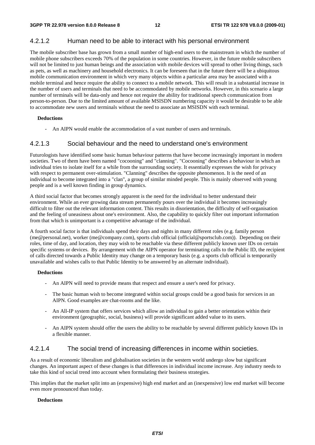## 4.2.1.2 Human need to be able to interact with his personal environment

The mobile subscriber base has grown from a small number of high-end users to the mainstream in which the number of mobile phone subscribers exceeds 70% of the population in some countries. However, in the future mobile subscribers will not be limited to just human beings and the association with mobile devices will spread to other living things, such as pets, as well as machinery and household electronics. It can be foreseen that in the future there will be a ubiquitous mobile communication environment in which very many objects within a particular area may be associated with a mobile terminal and hence require the ability to connect to a mobile network. This will result in a substantial increase in the number of users and terminals that need to be accommodated by mobile networks. However, in this scenario a large number of terminals will be data-only and hence not require the ability for traditional speech communication from person-to-person. Due to the limited amount of available MSISDN numbering capacity it would be desirable to be able to accommodate new users and terminals without the need to associate an MSISDN with each terminal.

#### **Deductions**

An AIPN would enable the accommodation of a vast number of users and terminals.

### 4.2.1.3 Social behaviour and the need to understand one's environment

Futurologists have identified some basic human behaviour patterns that have become increasingly important in modern societies. Two of them have been named "cocooning" and "clanning". "Cocooning" describes a behaviour in which an individual tries to isolate itself for a while from the surrounding society. It essentially expresses the wish for privacy with respect to permanent over-stimulation. "Clanning" describes the opposite phenomenon. It is the need of an individual to become integrated into a "clan", a group of similar minded people. This is mainly observed with young people and is a well known finding in group dynamics.

A third social factor that becomes strongly apparent is the need for the individual to better understand their environment. While an ever growing data stream permanently pours over the individual it becomes increasingly difficult to filter out the relevant information content. This results in disorientation, the difficulty of self-organisation and the feeling of uneasiness about one's environment. Also, the capability to quickly filter out important information from that which is unimportant is a competitive advantage of the individual.

A fourth social factor is that individuals spend their days and nights in many different roles (e.g. family person (me@personal.net), worker (me@company.com), sports club official (official@sportsclub.com)). Depending on their roles, time of day, and location, they may wish to be reachable via these different publicly known user IDs on certain specific systems or devices. By arrangement with the AIPN operator for terminating calls to the Public ID, the recipient of calls directed towards a Public Identity may change on a temporary basis (e.g. a sports club official is temporarily unavailable and wishes calls to that Public Identity to be answered by an alternate individual).

#### **Deductions**

- An AIPN will need to provide means that respect and ensure a user's need for privacy.
- The basic human wish to become integrated within social groups could be a good basis for services in an AIPN. Good examples are chat-rooms and the like.
- An All-IP system that offers services which allow an individual to gain a better orientation within their environment (geographic, social, business) will provide significant added value to its users.
- An AIPN system should offer the users the ability to be reachable by several different publicly known IDs in a flexible manner.

## 4.2.1.4 The social trend of increasing differences in income within societies.

As a result of economic liberalism and globalisation societies in the western world undergo slow but significant changes. An important aspect of these changes is that differences in individual income increase. Any industry needs to take this kind of social trend into account when formulating their business strategies.

This implies that the market split into an (expensive) high end market and an (inexpensive) low end market will become even more pronounced than today.

### **Deductions**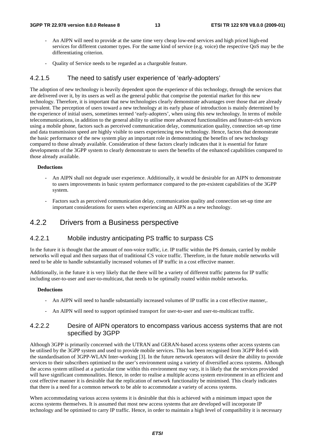- An AIPN will need to provide at the same time very cheap low-end services and high priced high-end services for different customer types. For the same kind of service (e.g. voice) the respective QoS may be the differentiating criterion.
- Quality of Service needs to be regarded as a chargeable feature.

### 4.2.1.5 The need to satisfy user experience of 'early-adopters'

The adoption of new technology is heavily dependent upon the experience of this technology, through the services that are delivered over it, by its users as well as the general public that comprise the potential market for this new technology. Therefore, it is important that new technologies clearly demonstrate advantages over those that are already prevalent. The perception of users toward a new technology at its early phase of introduction is mainly determined by the experience of initial users, sometimes termed 'early-adopters', when using this new technology. In terms of mobile telecommunications, in addition to the general ability to utilise more advanced functionalities and feature-rich services using a mobile phone, factors such as perceived communication delay, communication quality, connection set-up time and data transmission speed are highly visible to users experiencing new technology. Hence, factors that demonstrate the basic performance of the new system play an important role in demonstrating the benefits of new technology compared to those already available. Consideration of these factors clearly indicates that it is essential for future developments of the 3GPP system to clearly demonstrate to users the benefits of the enhanced capabilities compared to those already available.

#### **Deductions**

- An AIPN shall not degrade user experience. Additionally, it would be desirable for an AIPN to demonstrate to users improvements in basic system performance compared to the pre-existent capabilities of the 3GPP system.
- Factors such as perceived communication delay, communication quality and connection set-up time are important considerations for users when experiencing an AIPN as a new technology.

## 4.2.2 Drivers from a Business perspective

### 4.2.2.1 Mobile industry anticipating PS traffic to surpass CS

In the future it is thought that the amount of non-voice traffic, i.e. IP traffic within the PS domain, carried by mobile networks will equal and then surpass that of traditional CS voice traffic. Therefore, in the future mobile networks will need to be able to handle substantially increased volumes of IP traffic in a cost effective manner.

Additionally, in the future it is very likely that the there will be a variety of different traffic patterns for IP traffic including user-to-user and user-to-multicast, that needs to be optimally routed within mobile networks.

#### **Deductions**

- An AIPN will need to handle substantially increased volumes of IP traffic in a cost effective manner,.
- An AIPN will need to support optimised transport for user-to-user and user-to-multicast traffic.

### 4.2.2.2 Desire of AIPN operators to encompass various access systems that are not specified by 3GPP

Although 3GPP is primarily concerned with the UTRAN and GERAN-based access systems other access systems can be utilised by the 3GPP system and used to provide mobile services. This has been recognised from 3GPP Rel-6 with the standardisation of 3GPP-WLAN Inter-working [3]. In the future network operators will desire the ability to provide services to their subscribers optimised to the user's environment using a variety of diversified access systems. Although the access system utilised at a particular time within this environment may vary, it is likely that the services provided will have significant commonalities. Hence, in order to realise a multiple access system environment in an efficient and cost effective manner it is desirable that the replication of network functionality be minimised. This clearly indicates that there is a need for a common network to be able to accommodate a variety of access systems.

When accommodating various access systems it is desirable that this is achieved with a minimum impact upon the access systems themselves. It is assumed that most new access systems that are developed will incorporate IP technology and be optimised to carry IP traffic. Hence, in order to maintain a high level of compatibility it is necessary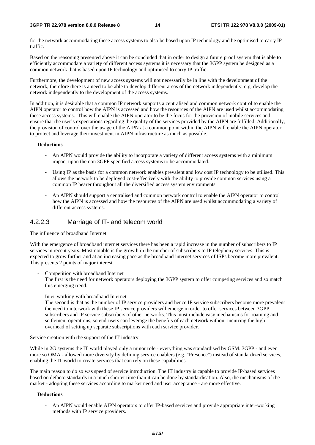#### **3GPP TR 22.978 version 8.0.0 Release 8 14 ETSI TR 122 978 V8.0.0 (2009-01)**

for the network accommodating these access systems to also be based upon IP technology and be optimised to carry IP traffic.

Based on the reasoning presented above it can be concluded that in order to design a future proof system that is able to efficiently accommodate a variety of different access systems it is necessary that the 3GPP system be designed as a common network that is based upon IP technology and optimised to carry IP traffic.

Furthermore, the development of new access systems will not necessarily be in line with the development of the network, therefore there is a need to be able to develop different areas of the network independently, e.g. develop the network independently to the development of the access systems.

In addition, it is desirable that a common IP network supports a centralised and common network control to enable the AIPN operator to control how the AIPN is accessed and how the resources of the AIPN are used whilst accommodating these access systems. This will enable the AIPN operator to be the focus for the provision of mobile services and ensure that the user's expectations regarding the quality of the services provided by the AIPN are fulfilled. Additionally, the provision of control over the usage of the AIPN at a common point within the AIPN will enable the AIPN operator to protect and leverage their investment in AIPN infrastructure as much as possible.

#### **Deductions**

- An AIPN would provide the ability to incorporate a variety of different access systems with a minimum impact upon the non 3GPP specified access systems to be accommodated.
- Using IP as the basis for a common network enables prevalent and low cost IP technology to be utilised. This allows the network to be deployed cost-effectively with the ability to provide common services using a common IP bearer throughout all the diversified access system environments.
- An AIPN should support a centralised and common network control to enable the AIPN operator to control how the AIPN is accessed and how the resources of the AIPN are used whilst accommodating a variety of different access systems.

### 4.2.2.3 Marriage of IT- and telecom world

### The influence of broadband Internet

With the emergence of broadband internet services there has been a rapid increase in the number of subscribers to IP services in recent years. Most notable is the growth in the number of subscribers to IP telephony services. This is expected to grow further and at an increasing pace as the broadband internet services of ISPs become more prevalent. This presents 2 points of major interest.

Competition with broadband Internet

The first is the need for network operators deploying the 3GPP system to offer competing services and so match this emerging trend.

Inter-working with broadband Internet

The second is that as the number of IP service providers and hence IP service subscribers become more prevalent the need to interwork with these IP service providers will emerge in order to offer services between 3GPP subscribers and IP service subscribers of other networks. This must include easy mechanisms for roaming and settlement operations, so end-users can leverage the benefits of each network without incurring the high overhead of setting up separate subscriptions with each service provider.

#### Service creation with the support of the IT industry

While in 2G systems the IT world played only a minor role - everything was standardised by GSM. 3GPP - and even more so OMA - allowed more diversity by defining service enablers (e.g. "Presence") instead of standardized services, enabling the IT world to create services that can rely on these capabilities.

The main reason to do so was speed of service introduction. The IT industry is capable to provide IP-based services based on defacto standards in a much shorter time than it can be done by standardisation. Also, the mechanisms of the market - adopting these services according to market need and user acceptance - are more effective.

### **Deductions**

- An AIPN would enable AIPN operators to offer IP-based services and provide appropriate inter-working methods with IP service providers.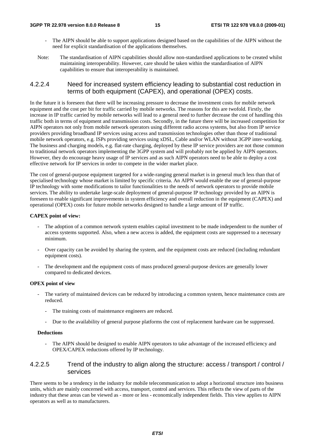- The AIPN should be able to support applications designed based on the capabilities of the AIPN without the need for explicit standardisation of the applications themselves.
- Note: The standardisation of AIPN capabilities should allow non-standardised applications to be created whilst maintaining interoperability. However, care should be taken within the standardisation of AIPN capabilities to ensure that interoperability is maintained.

## 4.2.2.4 Need for increased system efficiency leading to substantial cost reduction in terms of both equipment (CAPEX), and operational (OPEX) costs.

In the future it is foreseen that there will be increasing pressure to decrease the investment costs for mobile network equipment and the cost per bit for traffic carried by mobile networks. The reasons for this are twofold. Firstly, the increase in IP traffic carried by mobile networks will lead to a general need to further decrease the cost of handling this traffic both in terms of equipment and transmission costs. Secondly, in the future there will be increased competition for AIPN operators not only from mobile network operators using different radio access systems, but also from IP service providers providing broadband IP services using access and transmission technologies other than those of traditional mobile network operators, e.g. ISPs providing services using xDSL, Cable and/or WLAN without 3GPP inter-working. The business and charging models, e.g. flat-rate charging, deployed by these IP service providers are not those common to traditional network operators implementing the 3GPP system and will probably not be applied by AIPN operators. However, they do encourage heavy usage of IP services and as such AIPN operators need to be able to deploy a cost effective network for IP services in order to compete in the wider market place.

The cost of general-purpose equipment targeted for a wide-ranging general market is in general much less than that of specialised technology whose market is limited by specific criteria. An AIPN would enable the use of general-purpose IP technology with some modifications to tailor functionalities to the needs of network operators to provide mobile services. The ability to undertake large-scale deployment of general-purpose IP technology provided by an AIPN is foreseen to enable significant improvements in system efficiency and overall reduction in the equipment (CAPEX) and operational (OPEX) costs for future mobile networks designed to handle a large amount of IP traffic.

#### **CAPEX point of view:**

- The adoption of a common network system enables capital investment to be made independent to the number of access systems supported. Also, when a new access is added, the equipment costs are suppressed to a necessary minimum.
- Over capacity can be avoided by sharing the system, and the equipment costs are reduced (including redundant equipment costs).
- The development and the equipment costs of mass produced general-purpose devices are generally lower compared to dedicated devices.

#### **OPEX point of view**

- The variety of maintained devices can be reduced by introducing a common system, hence maintenance costs are reduced.
	- The training costs of maintenance engineers are reduced.
	- Due to the availability of general purpose platforms the cost of replacement hardware can be suppressed.

#### **Deductions**

The AIPN should be designed to enable AIPN operators to take advantage of the increased efficiency and OPEX/CAPEX reductions offered by IP technology.

## 4.2.2.5 Trend of the industry to align along the structure: access / transport / control / services

There seems to be a tendency in the industry for mobile telecommunication to adopt a horizontal structure into business units, which are mainly concerned with access, transport, control and services. This reflects the view of parts of the industry that these areas can be viewed as - more or less - economically independent fields. This view applies to AIPN operators as well as to manufacturers.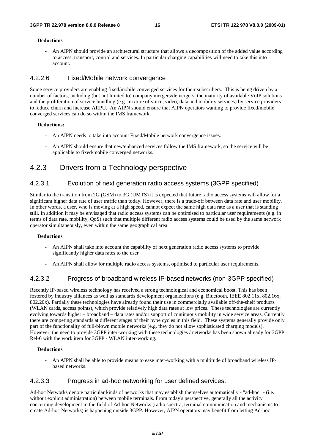#### **Deductions**

- An AIPN should provide an architectural structure that allows a decomposition of the added value according to access, transport, control and services. In particular charging capabilities will need to take this into account.

## 4.2.2.6 Fixed/Mobile network convergence

Some service providers are enabling fixed/mobile converged services for their subscribers. This is being driven by a number of factors, including (but not limited to) company mergers/demergers, the maturity of available VoIP solutions and the proliferation of service bundling (e.g. mixture of voice, video, data and mobility services) by service providers to reduce churn and increase ARPU. An AIPN should ensure that AIPN operators wanting to provide fixed/mobile converged services can do so within the IMS framework.

#### **Deductions:**

- An AIPN needs to take into account Fixed/Mobile network convergence issues.
- An AIPN should ensure that new/enhanced services follow the IMS framework, so the service will be applicable to fixed/mobile converged networks.

## 4.2.3 Drivers from a Technology perspective

## 4.2.3.1 Evolution of next generation radio access systems (3GPP specified)

Similar to the transition from 2G (GSM) to 3G (UMTS) it is expected that future radio access systems will allow for a significant higher data rate of user traffic than today. However, there is a trade-off between data rate and user mobility. In other words, a user, who is moving at a high speed, cannot expect the same high data rate as a user that is standing still. In addition it may be envisaged that radio access systems can be optimised to particular user requirements (e.g. in terms of data rate, mobility, QoS) such that multiple different radio access systems could be used by the same network operator simultaneously, even within the same geographical area.

#### **Deductions**

- An AIPN shall take into account the capability of next generation radio access systems to provide significantly higher data rates to the user
- An AIPN shall allow for multiple radio access systems, optimised to particular user requirements.

### 4.2.3.2 Progress of broadband wireless IP-based networks (non-3GPP specified)

Recently IP-based wireless technology has received a strong technological and economical boost. This has been fostered by industry alliances as well as standards development organizations (e.g. Bluetooth, IEEE 802.11x, 802.16x, 802.20x). Partially these technologies have already found their use in commercially available off-the-shelf products (WLAN cards, access points), which provide relatively high data rates at low prices. These technologies are currently evolving towards higher – broadband – data rates and/or support of continuous mobility in wide service areas. Currently there are competing standards at different stages of their hype cycles in this field. These systems generally provide only part of the functionality of full-blown mobile networks (e.g. they do not allow sophisticated charging models). However, the need to provide 3GPP inter-working with these technologies / networks has been shown already for 3GPP Rel-6 with the work item for 3GPP - WLAN inter-working.

#### **Deductions**

- An AIPN shall be able to provide means to ease inter-working with a multitude of broadband wireless IPbased networks.

### 4.2.3.3 Progress in ad-hoc networking for user defined services.

Ad-hoc Networks denote particular kinds of networks that may establish themselves automatically - "ad-hoc" - (i.e. without explicit administration) between mobile terminals. From today's perspective, generally all the activity concerning development in the field of Ad-hoc Networks (radio spectra, terminal communication and mechanisms to create Ad-hoc Networks) is happening outside 3GPP. However, AIPN operators may benefit from letting Ad-hoc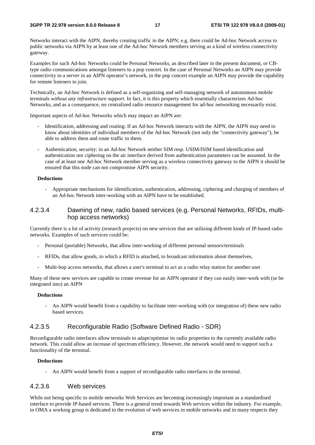Networks interact with the AIPN, thereby creating traffic in the AIPN; e.g. there could be Ad-hoc Network access to public networks via AIPN by at least one of the Ad-hoc Network members serving as a kind of wireless connectivity gateway.

Examples for such Ad-hoc Networks could be Personal Networks, as described later in the present document, or CBtype radio communications amongst listeners to a pop concert. In the case of Personal Networks an AIPN may provide connectivity to a server in an AIPN operator's network, in the pop concert example an AIPN may provide the capability for remote listeners to join.

Technically, an Ad-hoc Network is defined as a self-organizing and self-managing network of autonomous mobile terminals *without any infrastructure support*. In fact, it is this property which essentially characterizes Ad-hoc Networks, and as a consequence, no centralized radio resource management for ad-hoc networking necessarily exist.

Important aspects of Ad-hoc Networks which may impact an AIPN are:

- Identification, addressing and routing: If an Ad-hoc Network interacts with the AIPN, the AIPN may need to know about identities of individual members of the Ad-hoc Network (not only the "connectivity gateway"), be able to address them and route traffic to them.
- Authentication, security: in an Ad-hoc Network neither SIM resp. USIM/ISIM based identification and authentication nor ciphering on the air interface derived from authentication parameters can be assumed. In the case of at least one Ad-hoc Network member serving as a wireless connectivity gateway to the AIPN it should be ensured that this node can not compromise AIPN security.

#### **Deductions**

- Appropriate mechanisms for identification, authentication, addressing, ciphering and charging of members of an Ad-hoc Network inter-working with an AIPN have to be established.

### 4.2.3.4 Dawning of new, radio based services (e.g. Personal Networks, RFIDs, multihop access networks)

Currently there is a lot of activity (research projects) on new services that are utilizing different kinds of IP-based radio networks. Examples of such services could be:

- Personal (portable) Networks, that allow inter-working of different personal sensors/terminals
- RFIDs, that allow goods, to which a RFID is attached, to broadcast information about themselves,
- Multi-hop access networks, that allows a user's terminal to act as a radio relay station for another user

Many of these new services are capable to create revenue for an AIPN operator if they can easily inter-work with (or be integrated into) an AIPN

#### **Deductions**

- An AIPN would benefit from a capability to facilitate inter-working with (or integration of) these new radio based services.

### 4.2.3.5 Reconfigurable Radio (Software Defined Radio - SDR)

Reconfigurable radio interfaces allow terminals to adapt/optimise its radio properties to the currently available radio network. This could allow an increase of spectrum efficiency. However, the network would need to support such a functionality of the terminal.

#### **Deductions**

- An AIPN would benefit from a support of reconfigurable radio interfaces in the terminal.

### 4.2.3.6 Web services

While not being specific to mobile networks Web Services are becoming increasingly important as a standardised interface to provide IP-based services. There is a general trend towards Web services within the industry. For example, in OMA a working group is dedicated to the evolution of web services in mobile networks and in many respects they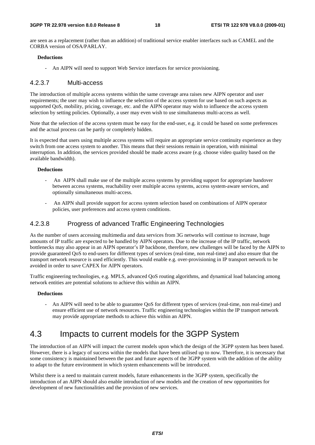are seen as a replacement (rather than an addition) of traditional service enabler interfaces such as CAMEL and the CORBA version of OSA/PARLAY.

#### **Deductions**

- An AIPN will need to support Web Service interfaces for service provisioning.

### 4.2.3.7 Multi-access

The introduction of multiple access systems within the same coverage area raises new AIPN operator and user requirements; the user may wish to influence the selection of the access system for use based on such aspects as supported QoS, mobility, pricing, coverage, etc. and the AIPN operator may wish to influence the access system selection by setting policies. Optionally, a user may even wish to use simultaneous multi-access as well.

Note that the selection of the access system must be easy for the end-user, e.g. it could be based on some preferences and the actual process can be partly or completely hidden.

It is expected that users using multiple access systems will require an appropriate service continuity experience as they switch from one access system to another. This means that their sessions remain in operation, with minimal interruption. In addition, the services provided should be made access aware (e.g. choose video quality based on the available bandwidth).

#### **Deductions**

- An AIPN shall make use of the multiple access systems by providing support for appropriate handover between access systems, reachability over multiple access systems, access system-aware services, and optionally simultaneous multi-access.
- An AIPN shall provide support for access system selection based on combinations of AIPN operator policies, user preferences and access system conditions.

## 4.2.3.8 Progress of advanced Traffic Engineering Technologies

As the number of users accessing multimedia and data services from 3G networks will continue to increase, huge amounts of IP traffic are expected to be handled by AIPN operators. Due to the increase of the IP traffic, network bottlenecks may also appear in an AIPN operator's IP backbone, therefore, new challenges will be faced by the AIPN to provide guaranteed QoS to end-users for different types of services (real-time, non real-time) and also ensure that the transport network resource is used efficiently. This would enable e.g. over-provisioning in IP transport network to be avoided in order to save CAPEX for AIPN operators.

Traffic engineering technologies, e.g. MPLS, advanced QoS routing algorithms, and dynamical load balancing among network entities are potential solutions to achieve this within an AIPN.

#### **Deductions**

- An AIPN will need to be able to guarantee QoS for different types of services (real-time, non real-time) and ensure efficient use of network resources. Traffic engineering technologies within the IP transport network may provide appropriate methods to achieve this within an AIPN.

## 4.3 Impacts to current models for the 3GPP System

The introduction of an AIPN will impact the current models upon which the design of the 3GPP system has been based. However, there is a legacy of success within the models that have been utilised up to now. Therefore, it is necessary that some consistency is maintained between the past and future aspects of the 3GPP system with the addition of the ability to adapt to the future environment in which system enhancements will be introduced.

Whilst there is a need to maintain current models, future enhancements in the 3GPP system, specifically the introduction of an AIPN should also enable introduction of new models and the creation of new opportunities for development of new functionalities and the provision of new services.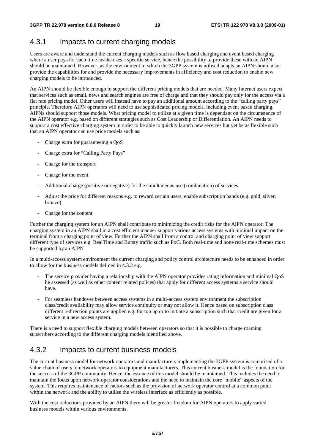## 4.3.1 Impacts to current charging models

Users are aware and understand the current charging models such as flow based charging and event based charging where a user pays for each time he/she uses a specific service, hence the possibility to provide these with an AIPN should be maintained. However, as the environment in which the 3GPP system is utilised adapts an AIPN should also provide the capabilities for and provide the necessary improvements in efficiency and cost reduction to enable new charging models to be introduced.

An AIPN should be flexible enough to support the different pricing models that are needed. Many Internet users expect that services such as email, news and search engines are free of charge and that they should pay only for the access via a flat rate pricing model. Other users will instead have to pay an additional amount according to the "calling party pays" principle. Therefore AIPN operators will need to use sophisticated pricing models, including event based charging. AIPNs should support those models. What pricing model to utilize at a given time is dependant on the circumstance of the AIPN operator e.g. based on different strategies such as Cost Leadership or Differentiation. An AIPN needs to support a cost effective charging system in order to be able to quickly launch new services but yet be as flexible such that an AIPN operator can use price models such as:

- Charge extra for guaranteeing a OoS
- Charge extra for "Calling Party Pays"
- Charge for the transport
- Charge for the event
- Additional charge (positive or negative) for the simultaneous use (combination) of services
- Adjust the price for different reasons e.g. to reward certain users, enable subscription bands (e.g. gold, silver, bronze)
- Charge for the content

Further the charging system for an AIPN shall contribute to minimizing the credit risks for the AIPN operator. The charging system in an AIPN shall in a cost efficient manner support various access systems with minimal impact on the terminal from a charging point of view. Further the AIPN shall from a control and charging point of view support different type of services e.g. RealTime and Bursty traffic such as PoC. Both real-time and none real-time schemes must be supported by an AIPN

In a multi-access system environment the current charging and policy control architecture needs to be enhanced in order to allow for the business models defined in 4.3.2 e.g.

- The service provider having a relationship with the AIPN operator provides rating information and minimal QoS he assessed (as well as other content related polices) that apply for different access systems a service should have.
- For seamless handover between access systems in a multi-access system environment the subscription class/credit availability may allow service continuity or may not allow it. Hence based on subscription class different redirection points are applied e.g. for top up or to initiate a subscription such that credit are given for a service in a new access system.

There is a need to support flexible charging models between operators so that it is possible to charge roaming subscribers according to the different charging models identified above.

## 4.3.2 Impacts to current business models

The current business model for network operators and manufacturers implementing the 3GPP system is comprised of a value chain of users to network operators to equipment manufacturers. This current business model is the foundation for the success of the 3GPP community. Hence, the essence of this model should be maintained. This includes the need to maintain the focus upon network operator considerations and the need to maintain the core "mobile" aspects of the system. This requires maintenance of factors such as the provision of network operator control at a common point within the network and the ability to utilise the wireless interface as efficiently as possible.

With the cost reductions provided by an AIPN there will be greater freedom for AIPN operators to apply varied business models within various environments.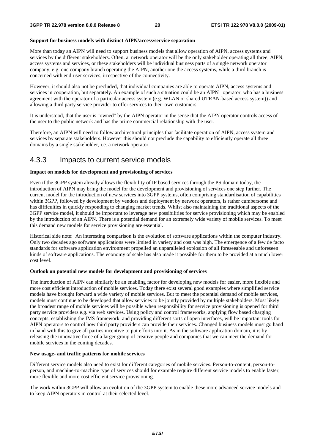#### **Support for business models with distinct AIPN/access/service separation**

More than today an AIPN will need to support business models that allow operation of AIPN, access systems and services by the different stakeholders. Often, a network operator will be the only stakeholder operating all three, AIPN, access systems and services, or these stakeholders will be individual business parts of a single network operator company, e.g. one company branch operating the AIPN, another one the access systems, while a third branch is concerned with end-user services, irrespective of the connectivity.

However, it should also not be precluded, that individual companies are able to operate AIPN, access systems and services in cooperation, but separately. An example of such a situation could be an AIPN operator, who has a business agreement with the operator of a particular access system (e.g. WLAN or shared UTRAN-based access system)) and allowing a third party service provider to offer services to their own customers.

It is understood, that the user is "owned" by the AIPN operator in the sense that the AIPN operator controls access of the user to the public network and has the prime commercial relationship with the user.

Therefore, an AIPN will need to follow architectural principles that facilitate operation of AIPN, access system and services by separate stakeholders. However this should not preclude the capability to efficiently operate all three domains by a single stakeholder, i.e. a network operator.

## 4.3.3 Impacts to current service models

#### **Impact on models for development and provisioning of services**

Even if the 3GPP system already allows the flexibility of IP based services through the PS domain today, the introduction of AIPN may bring the model for the development and provisioning of services one step further. The current model for the introduction of new services into 3GPP systems, often comprising standardisation of capabilities within 3GPP, followed by development by vendors and deployment by network operators, is rather cumbersome and has difficulties in quickly responding to changing market trends. Whilst also maintaining the traditional aspects of the 3GPP service model, it should be important to leverage new possibilities for service provisioning which may be enabled by the introduction of an AIPN. There is a potential demand for an extremely wide variety of mobile services. To meet this demand new models for service provisioning are essential.

Historical side note: An interesting comparison is the evolution of software applications within the computer industry. Only two decades ago software applications were limited in variety and cost was high. The emergence of a few de facto standards for software application environment propelled an unparalleled explosion of all foreseeable and unforeseen kinds of software applications. The economy of scale has also made it possible for them to be provided at a much lower cost level.

#### **Outlook on potential new models for development and provisioning of services**

The introduction of AIPN can similarly be an enabling factor for developing new models for easier, more flexible and more cost efficient introduction of mobile services. Today there exist several good examples where simplified service models have brought forward a wide variety of mobile services. But to meet the potential demand of mobile services, models must continue to be developed that allow services to be jointly provided by multiple stakeholders. Most likely the broadest range of mobile services will be possible when responsibility for service provisioning is opened for third party service providers e.g. via web services. Using policy and control frameworks, applying flow based charging concepts, establishing the IMS framework, and providing different sorts of open interfaces, will be important tools for AIPN operators to control how third party providers can provide their services. Changed business models must go hand in hand with this to give all parties incentive to put efforts into it. As in the software application domain, it is by releasing the innovative force of a larger group of creative people and companies that we can meet the demand for mobile services in the coming decades.

#### **New usage- and traffic patterns for mobile services**

Different service models also need to exist for different categories of mobile services. Person-to-content, person-toperson, and machine-to-machine type of services should for example require different service models to enable faster, more flexible and more cost efficient service provisioning.

The work within 3GPP will allow an evolution of the 3GPP system to enable these more advanced service models and to keep AIPN operators in control at their selected level.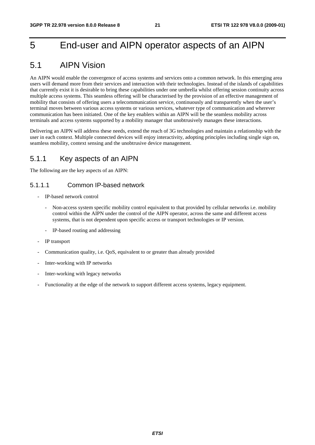## 5 End-user and AIPN operator aspects of an AIPN

## 5.1 AIPN Vision

An AIPN would enable the convergence of access systems and services onto a common network. In this emerging area users will demand more from their services and interaction with their technologies. Instead of the islands of capabilities that currently exist it is desirable to bring these capabilities under one umbrella whilst offering session continuity across multiple access systems. This seamless offering will be characterised by the provision of an effective management of mobility that consists of offering users a telecommunication service, continuously and transparently when the user's terminal moves between various access systems or various services, whatever type of communication and wherever communication has been initiated. One of the key enablers within an AIPN will be the seamless mobility across terminals and access systems supported by a mobility manager that unobtrusively manages these interactions.

Delivering an AIPN will address these needs, extend the reach of 3G technologies and maintain a relationship with the user in each context. Multiple connected devices will enjoy interactivity, adopting principles including single sign on, seamless mobility, context sensing and the unobtrusive device management.

## 5.1.1 Key aspects of an AIPN

The following are the key aspects of an AIPN:

## 5.1.1.1 Common IP-based network

- IP-based network control
	- Non-access system specific mobility control equivalent to that provided by cellular networks i.e. mobility control within the AIPN under the control of the AIPN operator, across the same and different access systems, that is not dependent upon specific access or transport technologies or IP version.
	- IP-based routing and addressing
- IP transport
- Communication quality, i.e. QoS, equivalent to or greater than already provided
- Inter-working with IP networks
- Inter-working with legacy networks
- Functionality at the edge of the network to support different access systems, legacy equipment.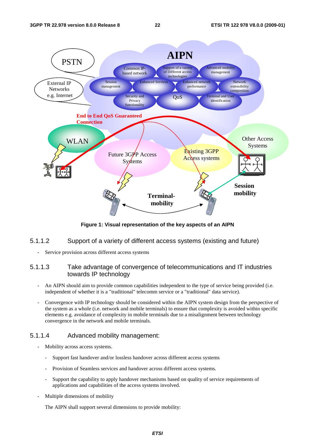

**Figure 1: Visual representation of the key aspects of an AIPN** 

### 5.1.1.2 Support of a variety of different access systems (existing and future)

Service provision across different access systems

## 5.1.1.3 Take advantage of convergence of telecommunications and IT industries towards IP technology

- An AIPN should aim to provide common capabilities independent to the type of service being provided (i.e. independent of whether it is a "traditional" telecomm service or a "traditional" data service).
- Convergence with IP technology should be considered within the AIPN system design from the perspective of the system as a whole (i.e. network and mobile terminals) to ensure that complexity is avoided within specific elements e.g. avoidance of complexity in mobile terminals due to a misalignment between technology convergence in the network and mobile terminals.

## 5.1.1.4 Advanced mobility management:

- Mobility across access systems.
	- Support fast handover and/or lossless handover across different access systems
	- Provision of Seamless services and handover across different access systems.
	- Support the capability to apply handover mechanisms based on quality of service requirements of applications and capabilities of the access systems involved.
- Multiple dimensions of mobility

The AIPN shall support several dimensions to provide mobility: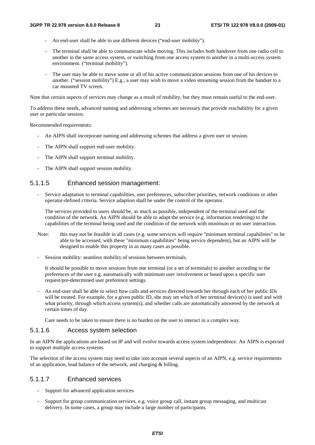- An end-user shall be able to use different devices ("end-user mobility").
- The terminal shall be able to communicate while moving. This includes both handover from one radio cell to another in the same access system, or switching from one access system to another in a multi-access system environment. ("terminal mobility").
- The user may be able to move some or all of his active communication sessions from one of his devices to another. ("session mobility") E.g., a user may wish to move a video streaming session from the handset to a car mounted TV screen.

Note that certain aspects of services may change as a result of mobility, but they must remain useful to the end-user.

To address these needs, advanced naming and addressing schemes are necessary that provide reachability for a given user or particular session.

Recommended requirements:

- An AIPN shall incorporate naming and addressing schemes that address a given user or session.
- The AIPN shall support end-user mobility.
- The AIPN shall support terminal mobility.
- The AIPN shall support session mobility.

### 5.1.1.5 Enhanced session management:

- Service adaptation to terminal capabilities, user preferences, subscriber priorities, network conditions or other operator-defined criteria. Service adaption shall be under the control of the operator.

The services provided to users should be, as much as possible, independent of the terminal used and the condition of the network. An AIPN should be able to adapt the service (e.g. information rendering) to the capabilities of the terminal being used and the condition of the network with minimum or no user interaction.

- Note: this may not be feasible in all cases (e.g. some services will require "minimum terminal capabilities" to be able to be accessed, with these "minimum capabilities" being service dependent), but an AIPN will be designed to enable this property in as many cases as possible.
- Session mobility: seamless mobility of sessions between terminals.

It should be possible to move sessions from one terminal (or a set of terminals) to another according to the preferences of the user e.g. automatically with minimum user involvement or based upon a specific user request/pre-determined user preference settings.

- An end-user shall be able to select how calls and services directed towards her through each of her public IDs will be treated. For example, for a given public ID, she may set which of her terminal device(s) is used and with what priority, through which access system(s), and whether calls are automatically answered by the network at certain times of day.

Care needs to be taken to ensure there is no burden on the user to interact in a complex way.

### 5.1.1.6 Access system selection

In an AIPN the applications are based on IP and will evolve towards access system independence. An AIPN is expected to support multiple access systems.

The selection of the access system may need to take into account several aspects of an AIPN, e.g. service requirements of an application, load balance of the network, and charging & billing.

## 5.1.1.7 Enhanced services

- Support for advanced application services
- Support for group communication services, e.g. voice group call, instant group messaging, and multicast delivery. In some cases, a group may include a large number of participants.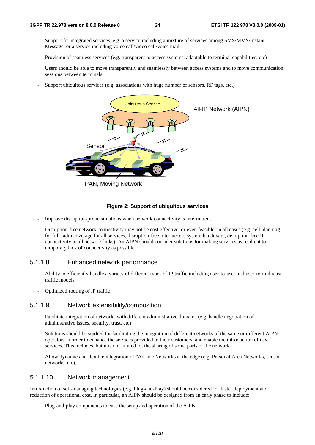- Support for integrated services, e.g. a service including a mixture of services among SMS/MMS/Instant Message, or a service including voice call/video call/voice mail.
- Provision of seamless services (e.g. transparent to access systems, adaptable to terminal capabilities, etc)

 Users should be able to move transparently and seamlessly between access systems and to move communication sessions between terminals.

Support ubiquitous services (e.g. associations with huge number of sensors, RF tags, etc.)



PAN, Moving Network

#### **Figure 2: Support of ubiquitous services**

Improve disruption-prone situations when network connectivity is intermittent.

Disruption-free network connectivity may not be cost effective, or even feasible, in all cases (e.g. cell planning for full radio coverage for all services, disruption-free inter-access system handovers, disruption-free IP connectivity in all network links). An AIPN should consider solutions for making services as resilient to temporary lack of connectivity as possible.

### 5.1.1.8 Enhanced network performance

- Ability to efficiently handle a variety of different types of IP traffic including user-to-user and user-to-multicast traffic models
- Optimized routing of IP traffic

### 5.1.1.9 Network extensibility/composition

- Facilitate integration of networks with different administrative domains (e.g. handle negotiation of administrative issues, security, trust, etc).
- Solutions should be studied for facilitating the integration of different networks of the same or different AIPN operators in order to enhance the services provided to their customers, and enable the introduction of new services. This includes, but it is not limited to, the sharing of some parts of the network.
- Allow dynamic and flexible integration of "Ad-hoc Networks at the edge (e.g. Personal Area Networks, sensor networks, etc).

### 5.1.1.10 Network management

Introduction of self-managing technologies (e.g. Plug-and-Play) should be considered for faster deployment and reduction of operational cost. In particular, an AIPN should be designed from an early phase to include:

- Plug-and-play components to ease the setup and operation of the AIPN.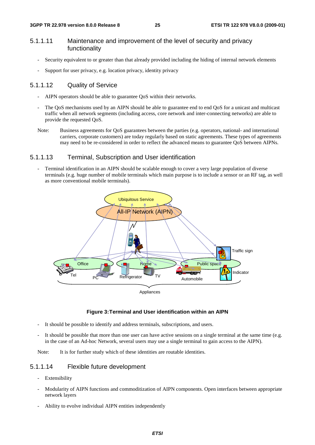## 5.1.1.11 Maintenance and improvement of the level of security and privacy functionality

- Security equivalent to or greater than that already provided including the hiding of internal network elements
- Support for user privacy, e.g. location privacy, identity privacy

## 5.1.1.12 Quality of Service

- AIPN operators should be able to guarantee OoS within their networks.
- The QoS mechanisms used by an AIPN should be able to guarantee end to end QoS for a unicast and multicast traffic when all network segments (including access, core network and inter-connecting networks) are able to provide the requested QoS.
- Note: Business agreements for QoS guarantees between the parties (e.g. operators, national- and international carriers, corporate customers) are today regularly based on static agreements. These types of agreements may need to be re-considered in order to reflect the advanced means to guarantee QoS between AIPNs.

### 5.1.1.13 Terminal, Subscription and User identification

Terminal identification in an AIPN should be scalable enough to cover a very large population of diverse terminals (e.g. huge number of mobile terminals which main purpose is to include a sensor or an RF tag, as well as more conventional mobile terminals).



Appliances

#### **Figure 3: Terminal and User identification within an AIPN**

- It should be possible to identify and address terminals, subscriptions, and users.
- It should be possible that more than one user can have active sessions on a single terminal at the same time (e.g. in the case of an Ad-hoc Network, several users may use a single terminal to gain access to the AIPN).

Note: It is for further study which of these identities are routable identities.

## 5.1.1.14 Flexible future development

- Extensibility
- Modularity of AIPN functions and commoditization of AIPN components. Open interfaces between appropriate network layers
- Ability to evolve individual AIPN entities independently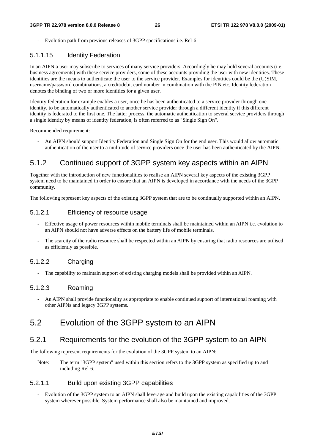Evolution path from previous releases of 3GPP specifications *i.e.* Rel-6

## 5.1.1.15 Identity Federation

In an AIPN a user may subscribe to services of many service providers. Accordingly he may hold several accounts (i.e. business agreements) with these service providers, some of these accounts providing the user with new identities. These identities are the means to authenticate the user to the service provider. Examples for identities could be the (U)SIM, username/password combinations, a credit/debit card number in combination with the PIN etc. Identity federation denotes the binding of two or more identities for a given user.

Identity federation for example enables a user, once he has been authenticated to a service provider through one identity, to be automatically authenticated to another service provider through a different identity if this different identity is federated to the first one. The latter process, the automatic authentication to several service providers through a single identity by means of identity federation, is often referred to as "Single Sign On".

Recommended requirement:

- An AIPN should support Identity Federation and Single Sign On for the end user. This would allow automatic authentication of the user to a multitude of service providers once the user has been authenticated by the AIPN.

## 5.1.2 Continued support of 3GPP system key aspects within an AIPN

Together with the introduction of new functionalities to realise an AIPN several key aspects of the existing 3GPP system need to be maintained in order to ensure that an AIPN is developed in accordance with the needs of the 3GPP community.

The following represent key aspects of the existing 3GPP system that are to be continually supported within an AIPN.

## 5.1.2.1 Efficiency of resource usage

- Effective usage of power resources within mobile terminals shall be maintained within an AIPN i.e. evolution to an AIPN should not have adverse effects on the battery life of mobile terminals.
- The scarcity of the radio resource shall be respected within an AIPN by ensuring that radio resources are utilised as efficiently as possible.

## 5.1.2.2 Charging

The capability to maintain support of existing charging models shall be provided within an AIPN.

## 5.1.2.3 Roaming

- An AIPN shall provide functionality as appropriate to enable continued support of international roaming with other AIPNs and legacy 3GPP systems.

## 5.2 Evolution of the 3GPP system to an AIPN

## 5.2.1 Requirements for the evolution of the 3GPP system to an AIPN

The following represent requirements for the evolution of the 3GPP system to an AIPN:

Note: The term "3GPP system" used within this section refers to the 3GPP system as specified up to and including Rel-6.

## 5.2.1.1 Build upon existing 3GPP capabilities

- Evolution of the 3GPP system to an AIPN shall leverage and build upon the existing capabilities of the 3GPP system wherever possible. System performance shall also be maintained and improved.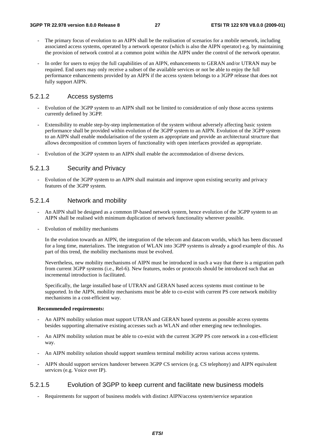- The primary focus of evolution to an AIPN shall be the realisation of scenarios for a mobile network, including associated access systems, operated by a network operator (which is also the AIPN operator) e.g. by maintaining the provision of network control at a common point within the AIPN under the control of the network operator.
- In order for users to enjoy the full capabilities of an AIPN, enhancements to GERAN and/or UTRAN may be required. End users may only receive a subset of the available services or not be able to enjoy the full performance enhancements provided by an AIPN if the access system belongs to a 3GPP release that does not fully support AIPN.

### 5.2.1.2 Access systems

- Evolution of the 3GPP system to an AIPN shall not be limited to consideration of only those access systems currently defined by 3GPP.
- Extensibility to enable step-by-step implementation of the system without adversely affecting basic system performance shall be provided within evolution of the 3GPP system to an AIPN. Evolution of the 3GPP system to an AIPN shall enable modularisation of the system as appropriate and provide an architectural structure that allows decomposition of common layers of functionality with open interfaces provided as appropriate.
- Evolution of the 3GPP system to an AIPN shall enable the accommodation of diverse devices.

## 5.2.1.3 Security and Privacy

- Evolution of the 3GPP system to an AIPN shall maintain and improve upon existing security and privacy features of the 3GPP system.

### 5.2.1.4 Network and mobility

- An AIPN shall be designed as a common IP-based network system, hence evolution of the 3GPP system to an AIPN shall be realised with minimum duplication of network functionality wherever possible.
- Evolution of mobility mechanisms

 In the evolution towards an AIPN, the integration of the telecom and datacom worlds, which has been discussed for a long time, materializes. The integration of WLAN into 3GPP systems is already a good example of this. As part of this trend, the mobility mechanisms must be evolved.

 Nevertheless, new mobility mechanisms of AIPN must be introduced in such a way that there is a migration path from current 3GPP systems (i.e., Rel-6). New features, nodes or protocols should be introduced such that an incremental introduction is facilitated.

 Specifically, the large installed base of UTRAN and GERAN based access systems must continue to be supported. In the AIPN, mobility mechanisms must be able to co-exist with current PS core network mobility mechanisms in a cost-efficient way.

### **Recommended requirements:**

- An AIPN mobility solution must support UTRAN and GERAN based systems as possible access systems besides supporting alternative existing accesses such as WLAN and other emerging new technologies.
- An AIPN mobility solution must be able to co-exist with the current 3GPP PS core network in a cost-efficient way.
- An AIPN mobility solution should support seamless terminal mobility across various access systems.
- AIPN should support services handover between 3GPP CS services (e.g. CS telephony) and AIPN equivalent services (e.g. Voice over IP).

### 5.2.1.5 Evolution of 3GPP to keep current and facilitate new business models

Requirements for support of business models with distinct AIPN/access system/service separation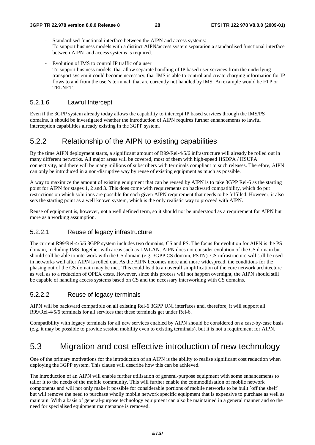- Standardised functional interface between the AIPN and access systems: To support business models with a distinct AIPN/access system separation a standardised functional interface between AIPN and access systems is required.
- Evolution of IMS to control IP traffic of a user To support business models, that allow separate handling of IP based user services from the underlying transport system it could become necessary, that IMS is able to control and create charging information for IP flows to and from the user's terminal, that are currently not handled by IMS. An example would be FTP or TELNET.

### 5.2.1.6 Lawful Intercept

Even if the 3GPP system already today allows the capability to intercept IP based services through the IMS/PS domains, it should be investigated whether the introduction of AIPN requires further enhancements to lawful interception capabilities already existing in the 3GPP system.

## 5.2.2 Relationship of the AIPN to existing capabilities

By the time AIPN deployment starts, a significant amount of R99/Rel-4/5/6 infrastructure will already be rolled out in many different networks. All major areas will be covered, most of them with high-speed HSDPA / HSUPA connectivity, and there will be many millions of subscribers with terminals compliant to such releases. Therefore, AIPN can only be introduced in a non-disruptive way by reuse of existing equipment as much as possible.

A way to maximize the amount of existing equipment that can be reused by AIPN is to take 3GPP Rel-6 as the starting point for AIPN for stages 1, 2 and 3. This does come with requirements on backward compatibility, which do put restrictions on which solutions are possible for each given AIPN requirement that needs to be fulfilled. However, it also sets the starting point as a well known system, which is the only realistic way to proceed with AIPN.

Reuse of equipment is, however, not a well defined term, so it should not be understood as a requirement for AIPN but more as a working assumption.

### 5.2.2.1 Reuse of legacy infrastructure

The current R99/Rel-4/5/6 3GPP system includes two domains, CS and PS. The focus for evolution for AIPN is the PS domain, including IMS, together with areas such as I-WLAN. AIPN does not consider evolution of the CS domain but should still be able to interwork with the CS domain (e.g. 3GPP CS domain, PSTN). CS infrastructure will still be used in networks well after AIPN is rolled out. As the AIPN becomes more and more widespread, the conditions for the phasing out of the CS domain may be met. This could lead to an overall simplification of the core network architecture as well as to a reduction of OPEX costs. However, since this process will not happen overnight, the AIPN should still be capable of handling access systems based on CS and the necessary interworking with CS domains.

### 5.2.2.2 Reuse of legacy terminals

AIPN will be backward compatible on all existing Rel-6 3GPP UNI interfaces and, therefore, it will support all R99/Rel-4/5/6 terminals for all services that these terminals get under Rel-6.

Compatibility with legacy terminals for all new services enabled by AIPN should be considered on a case-by-case basis (e.g. it may be possible to provide session mobility even to existing terminals), but it is not a requirement for AIPN.

## 5.3 Migration and cost effective introduction of new technology

One of the primary motivations for the introduction of an AIPN is the ability to realise significant cost reduction when deploying the 3GPP system. This clause will describe how this can be achieved.

The introduction of an AIPN will enable further utilisation of general-purpose equipment with some enhancements to tailor it to the needs of the mobile community. This will further enable the commoditisation of mobile network components and will not only make it possible for considerable portions of mobile networks to be built `off the shelf` but will remove the need to purchase wholly mobile network specific equipment that is expensive to purchase as well as maintain. With a basis of general-purpose technology equipment can also be maintained in a general manner and so the need for specialised equipment maintenance is removed.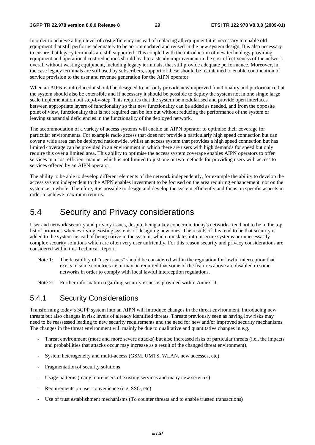In order to achieve a high level of cost efficiency instead of replacing all equipment it is necessary to enable old equipment that still performs adequately to be accommodated and reused in the new system design. It is also necessary to ensure that legacy terminals are still supported. This coupled with the introduction of new technology providing equipment and operational cost reductions should lead to a steady improvement in the cost effectiveness of the network overall without wasting equipment, including legacy terminals, that still provide adequate performance. Moreover, in the case legacy terminals are still used by subscribers, support of these should be maintained to enable continuation of service provision to the user and revenue generation for the AIPN operator.

When an AIPN is introduced it should be designed to not only provide new improved functionality and performance but the system should also be extensible and if necessary it should be possible to deploy the system not in one single large scale implementation but step-by-step. This requires that the system be modularised and provide open interfaces between appropriate layers of functionality so that new functionality can be added as needed, and from the opposite point of view, functionality that is not required can be left out without reducing the performance of the system or leaving substantial deficiencies in the functionality of the deployed network.

The accommodation of a variety of access systems will enable an AIPN operator to optimise their coverage for particular environments. For example radio access that does not provide a particularly high speed connection but can cover a wide area can be deployed nationwide, whilst an access system that provides a high speed connection but has limited coverage can be provided in an environment in which there are users with high demands for speed but only require this over a limited area. This ability to optimise the access system coverage enables AIPN operators to offer services in a cost efficient manner which is not limited to just one or two methods for providing users with access to services offered by an AIPN operator.

The ability to be able to develop different elements of the network independently, for example the ability to develop the access system independent to the AIPN enables investment to be focused on the area requiring enhancement, not on the system as a whole. Therefore, it is possible to design and develop the system efficiently and focus on specific aspects in order to achieve maximum returns.

## 5.4 Security and Privacy considerations

User and network security and privacy issues, despite being a key concern in today's networks, tend not to be in the top list of priorities when evolving existing systems or designing new ones. The results of this tend to be that security is added to the system instead of being native in the system, which translates into insecure systems or unnecessarily complex security solutions which are often very user unfriendly. For this reason security and privacy considerations are considered within this Technical Report.

- Note 1: The feasibility of "user issues" should be considered within the regulation for lawful interception that exists in some countries i.e. it may be required that some of the features above are disabled in some networks in order to comply with local lawful interception regulations.
- Note 2: Further information regarding security issues is provided within Annex D.

## 5.4.1 Security Considerations

Transforming today's 3GPP system into an AIPN will introduce changes in the threat environment, introducing new threats but also changes in risk levels of already identified threats. Threats previously seen as having low risks may need to be reassessed leading to new security requirements and the need for new and/or improved security mechanisms. The changes in the threat environment will mainly be due to qualitative and quantitative changes in e.g.

- Threat environment (more and more severe attacks) but also increased risks of particular threats (i.e., the impacts and probabilities that attacks occur may increase as a result of the changed threat environment).
- System heterogeneity and multi-access (GSM, UMTS, WLAN, new accesses, etc)
- Fragmentation of security solutions
- Usage patterns (many more users of existing services and many new services)
- Requirements on user convenience (e.g. SSO, etc)
- Use of trust establishment mechanisms (To counter threats and to enable trusted transactions)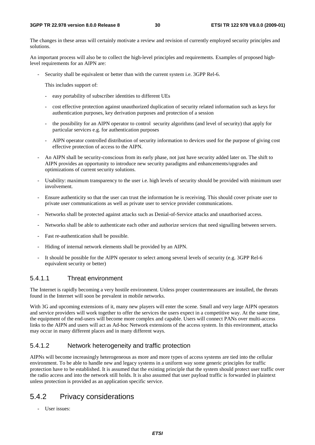The changes in these areas will certainly motivate a review and revision of currently employed security principles and solutions.

An important process will also be to collect the high-level principles and requirements. Examples of proposed highlevel requirements for an AIPN are:

Security shall be equivalent or better than with the current system i.e. 3GPP Rel-6.

This includes support of:

- easy portability of subscriber identities to different UEs
- cost effective protection against unauthorized duplication of security related information such as keys for authentication purposes, key derivation purposes and protection of a session
- the possibility for an AIPN operator to control security algorithms (and level of security) that apply for particular services e.g. for authentication purposes
- AIPN operator controlled distribution of security information to devices used for the purpose of giving cost effective protection of access to the AIPN.
- An AIPN shall be security-conscious from its early phase, not just have security added later on. The shift to AIPN provides an opportunity to introduce new security paradigms and enhancements/upgrades and optimizations of current security solutions.
- Usability: maximum transparency to the user i.e. high levels of security should be provided with minimum user involvement.
- Ensure authenticity so that the user can trust the information he is receiving. This should cover private user to private user communications as well as private user to service provider communications.
- Networks shall be protected against attacks such as Denial-of-Service attacks and unauthorised access.
- Networks shall be able to authenticate each other and authorize services that need signalling between servers.
- Fast re-authentication shall be possible.
- Hiding of internal network elements shall be provided by an AIPN.
- It should be possible for the AIPN operator to select among several levels of security (e.g. 3GPP Rel-6 equivalent security or better)

## 5.4.1.1 Threat environment

The Internet is rapidly becoming a very hostile environment. Unless proper countermeasures are installed, the threats found in the Internet will soon be prevalent in mobile networks.

With 3G and upcoming extensions of it, many new players will enter the scene. Small and very large AIPN operators and service providers will work together to offer the services the users expect in a competitive way. At the same time, the equipment of the end-users will become more complex and capable. Users will connect PANs over multi-access links to the AIPN and users will act as Ad-hoc Network extensions of the access system. In this environment, attacks may occur in many different places and in many different ways.

### 5.4.1.2 Network heterogeneity and traffic protection

AIPNs will become increasingly heterogeneous as more and more types of access systems are tied into the cellular environment. To be able to handle new and legacy systems in a uniform way some generic principles for traffic protection have to be established. It is assumed that the existing principle that the system should protect user traffic over the radio access and into the network still holds. It is also assumed that user payload traffic is forwarded in plaintext unless protection is provided as an application specific service.

## 5.4.2 Privacy considerations

- User issues: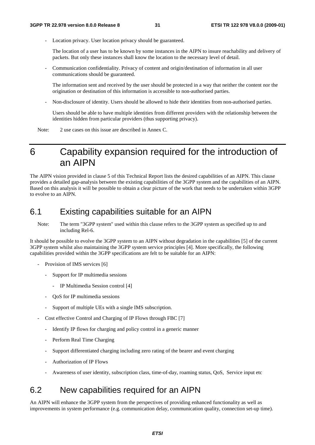Location privacy. User location privacy should be guaranteed.

 The location of a user has to be known by some instances in the AIPN to insure reachability and delivery of packets. But only these instances shall know the location to the necessary level of detail.

- Communication confidentiality. Privacy of content and origin/destination of information in all user communications should be guaranteed.

 The information sent and received by the user should be protected in a way that neither the content nor the origination or destination of this information is accessible to non-authorised parties.

- Non-disclosure of identity. Users should be allowed to hide their identities from non-authorised parties.

 Users should be able to have multiple identities from different providers with the relationship between the identities hidden from particular providers (thus supporting privacy).

Note: 2 use cases on this issue are described in Annex C.

## 6 Capability expansion required for the introduction of an AIPN

The AIPN vision provided in clause 5 of this Technical Report lists the desired capabilities of an AIPN. This clause provides a detailed gap-analysis between the existing capabilities of the 3GPP system and the capabilities of an AIPN. Based on this analysis it will be possible to obtain a clear picture of the work that needs to be undertaken within 3GPP to evolve to an AIPN.

## 6.1 Existing capabilities suitable for an AIPN

Note: The term "3GPP system" used within this clause refers to the 3GPP system as specified up to and including Rel-6.

It should be possible to evolve the 3GPP system to an AIPN without degradation in the capabilities [5] of the current 3GPP system whilst also maintaining the 3GPP system service principles [4]. More specifically, the following capabilities provided within the 3GPP specifications are felt to be suitable for an AIPN:

- Provision of IMS services [6]
	- Support for IP multimedia sessions
		- IP Multimedia Session control [4]
	- QoS for IP multimedia sessions
	- Support of multiple UEs with a single IMS subscription.
- Cost effective Control and Charging of IP Flows through FBC [7]
	- Identify IP flows for charging and policy control in a generic manner
	- Perform Real Time Charging
	- Support differentiated charging including zero rating of the bearer and event charging
	- Authorization of IP Flows
	- Awareness of user identity, subscription class, time-of-day, roaming status, QoS, Service input etc

## 6.2 New capabilities required for an AIPN

An AIPN will enhance the 3GPP system from the perspectives of providing enhanced functionality as well as improvements in system performance (e.g. communication delay, communication quality, connection set-up time).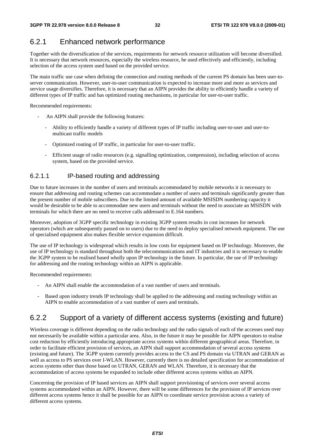## 6.2.1 Enhanced network performance

Together with the diversification of the services, requirements for network resource utilization will become diversified. It is necessary that network resources, especially the wireless resource, be used effectively and efficiently, including selection of the access system used based on the provided service.

The main traffic use case when defining the connection and routing methods of the current PS domain has been user-toserver communication. However, user-to-user communication is expected to increase more and more as services and service usage diversifies. Therefore, it is necessary that an AIPN provides the ability to efficiently handle a variety of different types of IP traffic and has optimized routing mechanisms, in particular for user-to-user traffic.

Recommended requirements:

- An AIPN shall provide the following features:
	- Ability to efficiently handle a variety of different types of IP traffic including user-to-user and user-tomulticast traffic models
	- Optimized routing of IP traffic, in particular for user-to-user traffic.
	- Efficient usage of radio resources (e.g. signalling optimization, compression), including selection of access system, based on the provided service.

## 6.2.1.1 IP-based routing and addressing

Due to future increases in the number of users and terminals accommodated by mobile networks it is necessary to ensure that addressing and routing schemes can accommodate a number of users and terminals significantly greater than the present number of mobile subscribers. Due to the limited amount of available MSISDN numbering capacity it would be desirable to be able to accommodate new users and terminals without the need to associate an MSISDN with terminals for which there are no need to receive calls addressed to E.164 numbers.

Moreover, adoption of 3GPP specific technology in existing 3GPP system results in cost increases for network operators (which are subsequently passed on to users) due to the need to deploy specialised network equipment. The use of specialised equipment also makes flexible service expansion difficult.

The use of IP technology is widespread which results in low costs for equipment based on IP technology. Moreover, the use of IP technology is standard throughout both the telecommunications and IT industries and it is necessary to enable the 3GPP system to be realised based wholly upon IP technology in the future. In particular, the use of IP technology for addressing and the routing technology within an AIPN is applicable.

Recommended requirements:

- An AIPN shall enable the accommodation of a vast number of users and terminals.
- Based upon industry trends IP technology shall be applied to the addressing and routing technology within an AIPN to enable accommodation of a vast number of users and terminals.

## 6.2.2 Support of a variety of different access systems (existing and future)

Wireless coverage is different depending on the radio technology and the radio signals of each of the accesses used may not necessarily be available within a particular area. Also, in the future it may be possible for AIPN operators to realise cost reduction by efficiently introducing appropriate access systems within different geographical areas. Therefore, in order to facilitate efficient provision of services, an AIPN shall support accommodation of several access systems (existing and future). The 3GPP system currently provides access to the CS and PS domain via UTRAN and GERAN as well as access to PS services over I-WLAN. However, currently there is no detailed specification for accommodation of access systems other than those based on UTRAN, GERAN and WLAN. Therefore, it is necessary that the accommodation of access systems be expanded to include other different access systems within an AIPN.

Concerning the provision of IP based services an AIPN shall support provisioning of services over several access systems accommodated within an AIPN. However, there will be some differences for the provision of IP services over different access systems hence it shall be possible for an AIPN to coordinate service provision across a variety of different access systems.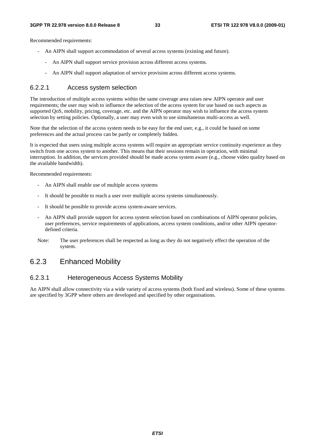Recommended requirements:

- An AIPN shall support accommodation of several access systems (existing and future).
	- An AIPN shall support service provision across different access systems.
		- An AIPN shall support adaptation of service provision across different access systems.

### 6.2.2.1 Access system selection

The introduction of multiple access systems within the same coverage area raises new AIPN operator and user requirements; the user may wish to influence the selection of the access system for use based on such aspects as supported QoS, mobility, pricing, coverage, etc. and the AIPN operator may wish to influence the access system selection by setting policies. Optionally, a user may even wish to use simultaneous multi-access as well.

Note that the selection of the access system needs to be easy for the end user, e.g., it could be based on some preferences and the actual process can be partly or completely hidden.

It is expected that users using multiple access systems will require an appropriate service continuity experience as they switch from one access system to another. This means that their sessions remain in operation, with minimal interruption. In addition, the services provided should be made access system aware (e.g., choose video quality based on the available bandwidth).

Recommended requirements:

- An AIPN shall enable use of multiple access systems
- It should be possible to reach a user over multiple access systems simultaneously.
- It should be possible to provide access system-aware services.
- An AIPN shall provide support for access system selection based on combinations of AIPN operator policies, user preferences, service requirements of applications, access system conditions, and/or other AIPN operatordefined criteria.
- Note: The user preferences shall be respected as long as they do not negatively effect the operation of the system.

## 6.2.3 Enhanced Mobility

## 6.2.3.1 Heterogeneous Access Systems Mobility

An AIPN shall allow connectivity via a wide variety of access systems (both fixed and wireless). Some of these systems are specified by 3GPP where others are developed and specified by other organisations.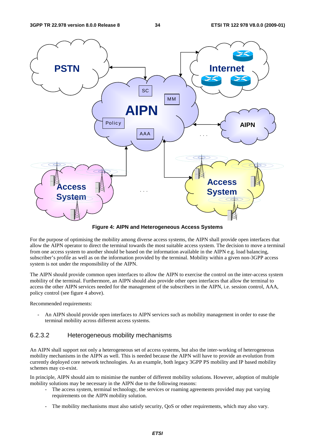

**Figure 4: AIPN and Heterogeneous Access Systems** 

For the purpose of optimising the mobility among diverse access systems, the AIPN shall provide open interfaces that allow the AIPN operator to direct the terminal towards the most suitable access system. The decision to move a terminal from one access system to another should be based on the information available in the AIPN e.g. load balancing, subscriber's profile as well as on the information provided by the terminal. Mobility within a given non-3GPP access system is not under the responsibility of the AIPN.

The AIPN should provide common open interfaces to allow the AIPN to exercise the control on the inter-access system mobility of the terminal. Furthermore, an AIPN should also provide other open interfaces that allow the terminal to access the other AIPN services needed for the management of the subscribers in the AIPN, i.e. session control, AAA, policy control (see figure 4 above).

Recommended requirements:

An AIPN should provide open interfaces to AIPN services such as mobility management in order to ease the terminal mobility across different access systems.

## 6.2.3.2 Heterogeneous mobility mechanisms

An AIPN shall support not only a heterogeneous set of access systems, but also the inter-working of heterogeneous mobility mechanisms in the AIPN as well. This is needed because the AIPN will have to provide an evolution from currently deployed core network technologies. As an example, both legacy 3GPP PS mobility and IP based mobility schemes may co-exist.

In principle, AIPN should aim to minimise the number of different mobility solutions. However, adoption of multiple mobility solutions may be necessary in the AIPN due to the following reasons:

- The access system, terminal technology, the services or roaming agreements provided may put varying requirements on the AIPN mobility solution.
- The mobility mechanisms must also satisfy security, QoS or other requirements, which may also vary.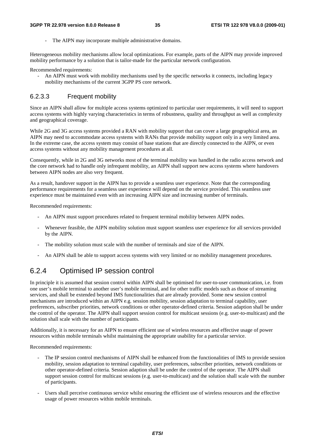The AIPN may incorporate multiple administrative domains.

Heterogeneous mobility mechanisms allow local optimizations. For example, parts of the AIPN may provide improved mobility performance by a solution that is tailor-made for the particular network configuration.

Recommended requirements:

- An AIPN must work with mobility mechanisms used by the specific networks it connects, including legacy mobility mechanisms of the current 3GPP PS core network.

### 6.2.3.3 Frequent mobility

Since an AIPN shall allow for multiple access systems optimized to particular user requirements, it will need to support access systems with highly varying characteristics in terms of robustness, quality and throughput as well as complexity and geographical coverage.

While 2G and 3G access systems provided a RAN with mobility support that can cover a large geographical area, an AIPN may need to accommodate access systems with RANs that provide mobility support only in a very limited area. In the extreme case, the access system may consist of base stations that are directly connected to the AIPN, or even access systems without any mobility management procedures at all.

Consequently, while in 2G and 3G networks most of the terminal mobility was handled in the radio access network and the core network had to handle only infrequent mobility, an AIPN shall support new access systems where handovers between AIPN nodes are also very frequent.

As a result, handover support in the AIPN has to provide a seamless user experience. Note that the corresponding performance requirements for a seamless user experience will depend on the service provided. This seamless user experience must be maintained even with an increasing AIPN size and increasing number of terminals.

Recommended requirements:

- An AIPN must support procedures related to frequent terminal mobility between AIPN nodes.
- Whenever feasible, the AIPN mobility solution must support seamless user experience for all services provided by the AIPN.
- The mobility solution must scale with the number of terminals and size of the AIPN.
- An AIPN shall be able to support access systems with very limited or no mobility management procedures.

## 6.2.4 Optimised IP session control

In principle it is assumed that session control within AIPN shall be optimised for user-to-user communication, i.e. from one user's mobile terminal to another user's mobile terminal, and for other traffic models such as those of streaming services, and shall be extended beyond IMS functionalities that are already provided. Some new session control mechanisms are introduced within an AIPN e.g. session mobility, session adaptation to terminal capability, user preferences, subscriber priorities, network conditions or other operator-defined criteria. Session adaption shall be under the control of the operator. The AIPN shall support session control for multicast sessions (e.g. user-to-multicast) and the solution shall scale with the number of participants.

Additionally, it is necessary for an AIPN to ensure efficient use of wireless resources and effective usage of power resources within mobile terminals whilst maintaining the appropriate usability for a particular service.

Recommended requirements:

- The IP session control mechanisms of AIPN shall be enhanced from the functionalities of IMS to provide session mobility, session adaptation to terminal capability, user preferences, subscriber priorities, network conditions or other operator-defined criteria. Session adaption shall be under the control of the operator. The AIPN shall support session control for multicast sessions (e.g. user-to-multicast) and the solution shall scale with the number of participants.
- Users shall perceive continuous service whilst ensuring the efficient use of wireless resources and the effective usage of power resources within mobile terminals.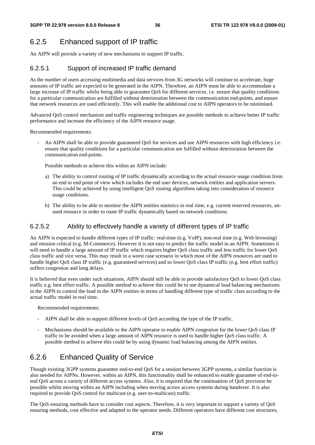## 6.2.5 Enhanced support of IP traffic

An AIPN will provide a variety of new mechanisms to support IP traffic.

## 6.2.5.1 Support of increased IP traffic demand

As the number of users accessing multimedia and data services from 3G networks will continue to accelerate, huge amounts of IP traffic are expected to be generated in the AIPN. Therefore, an AIPN must be able to accommodate a large increase of IP traffic whilst being able to guarantee QoS for different services, i.e. ensure that quality conditions for a particular communication are fulfilled without deterioration between the communication end-points, and ensure that network resources are used efficiently. This will enable the additional cost to AIPN operators to be minimised.

Advanced QoS control mechanism and traffic engineering techniques are possible methods to achieve better IP traffic performance and increase the efficiency of the AIPN resource usage.

Recommended requirements:

An AIPN shall be able to provide guaranteed OoS for services and use AIPN resources with high efficiency i.e. ensure that quality conditions for a particular communication are fulfilled without deterioration between the communication end-points.

Possible methods to achieve this within an AIPN include:

- a) The ability to control routing of IP traffic dynamically according to the actual resource usage condition from an end to end point of view which includes the end user devices, network entities and application servers. This could be achieved by using intelligent QoS routing algorithms taking into consideration of resource usage conditions.
- b) The ability to be able to monitor the AIPN entities statistics in real time, e.g. current reserved resources, unused resource in order to route IP traffic dynamically based on network conditions.

## 6.2.5.2 Ability to effectively handle a variety of different types of IP traffic

An AIPN is expected to handle different types of IP traffic: real-time (e.g. VoIP), non-real time (e.g. Web browsing) and mission critical (e.g. M-Commerce). However it is not easy to predict the traffic model in an AIPN. Sometimes it will need to handle a large amount of IP traffic which requires higher QoS class traffic and less traffic for lower QoS class traffic and vice versa. This may result in a worst case scenario in which most of the AIPN resources are used to handle higher QoS class IP traffic (e.g. guaranteed services) and so lower QoS class IP traffic (e.g. best effort traffic) suffers congestion and long delays.

It is believed that even under such situations, AIPN should still be able to provide satisfactory QoS to lower QoS class traffic e.g. best effort traffic. A possible method to achieve this could be to use dynamical load balancing mechanisms in the AIPN to control the load in the AIPN entities in terms of handling different type of traffic class according to the actual traffic model in real time.

Recommended requirements:

- AIPN shall be able to support different levels of QoS according the type of the IP traffic.
- Mechanisms should be available to the AIPN operator to enable AIPN congestion for the lower QoS class IP traffic to be avoided when a large amount of AIPN resource is used to handle higher QoS class traffic. A possible method to achieve this could be by using dynamic load balancing among the AIPN entities.

## 6.2.6 Enhanced Quality of Service

Though existing 3GPP systems guarantee end-to-end QoS for a session between 3GPP systems, a similar function is also needed for AIPNs. However, within an AIPN, this functionality shall be enhanced to enable guarantee of end-toend QoS across a variety of different access systems. Also, it is required that the continuation of QoS provision be possible whilst moving within an AIPN including when moving across access systems during handover. It is also required to provide QoS control for multicast (e.g. user-to-multicast) traffic.

The QoS ensuring methods have to consider cost aspects. Therefore, it is very important to support a variety of QoS ensuring methods, cost effective and adapted to the operator needs. Different operators have different cost structures,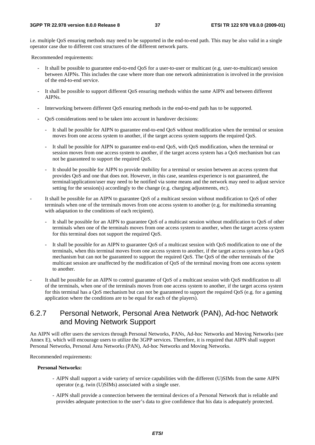i.e. multiple QoS ensuring methods may need to be supported in the end-to-end path. This may be also valid in a single operator case due to different cost structures of the different network parts.

Recommended requirements:

- It shall be possible to guarantee end-to-end QoS for a user-to-user or multicast (e.g. user-to-multicast) session between AIPNs. This includes the case where more than one network administration is involved in the provision of the end-to-end service.
- It shall be possible to support different QoS ensuring methods within the same AIPN and between different AIPNs.
- Interworking between different QoS ensuring methods in the end-to-end path has to be supported.
- QoS considerations need to be taken into account in handover decisions:
	- It shall be possible for AIPN to guarantee end-to-end QoS without modification when the terminal or session moves from one access system to another, if the target access system supports the required QoS.
	- It shall be possible for AIPN to guarantee end-to-end QoS, with QoS modification, when the terminal or session moves from one access system to another, if the target access system has a QoS mechanism but can not be guaranteed to support the required QoS.
	- It should be possible for AIPN to provide mobility for a terminal or session between an access system that provides QoS and one that does not. However, in this case, seamless experience is not guaranteed, the terminal/application/user may need to be notified via some means and the network may need to adjust service setting for the session(s) accordingly to the change (e.g. charging adjustments, etc).
- It shall be possible for an AIPN to guarantee QoS of a multicast session without modification to QoS of other terminals when one of the terminals moves from one access system to another (e.g. for multimedia streaming with adaptation to the conditions of each recipient).
	- It shall be possible for an AIPN to guarantee QoS of a multicast session without modification to QoS of other terminals when one of the terminals moves from one access system to another, when the target access system for this terminal does not support the required QoS.
	- It shall be possible for an AIPN to guarantee OoS of a multicast session with OoS modification to one of the terminals, when this terminal moves from one access system to another, if the target access system has a QoS mechanism but can not be guaranteed to support the required QoS. The QoS of the other terminals of the multicast session are unaffected by the modification of QoS of the terminal moving from one access system to another.
- It shall be possible for an AIPN to control guarantee of QoS of a multicast session with QoS modification to all of the terminals, when one of the terminals moves from one access system to another, if the target access system for this terminal has a QoS mechanism but can not be guaranteed to support the required QoS (e.g. for a gaming application where the conditions are to be equal for each of the players).

## 6.2.7 Personal Network, Personal Area Network (PAN), Ad-hoc Network and Moving Network Support

An AIPN will offer users the services through Personal Networks, PANs, Ad-hoc Networks and Moving Networks (see Annex E), which will encourage users to utilize the 3GPP services. Therefore, it is required that AIPN shall support Personal Networks, Personal Area Networks (PAN), Ad-hoc Networks and Moving Networks.

Recommended requirements:

#### **Personal Networks:**

- AIPN shall support a wide variety of service capabilities with the different (U)SIMs from the same AIPN operator (e.g. twin (U)SIMs) associated with a single user.
- AIPN shall provide a connection between the terminal devices of a Personal Network that is reliable and provides adequate protection to the user's data to give confidence that his data is adequately protected.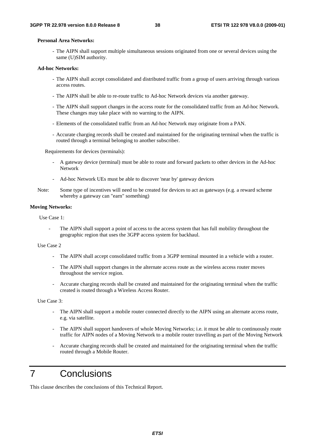### **Personal Area Networks:**

- The AIPN shall support multiple simultaneous sessions originated from one or several devices using the same (U)SIM authority.

#### **Ad-hoc Networks:**

- The AIPN shall accept consolidated and distributed traffic from a group of users arriving through various access routes.
- The AIPN shall be able to re-route traffic to Ad-hoc Network devices via another gateway.
- The AIPN shall support changes in the access route for the consolidated traffic from an Ad-hoc Network. These changes may take place with no warning to the AIPN.
- Elements of the consolidated traffic from an Ad-hoc Network may originate from a PAN.
- Accurate charging records shall be created and maintained for the originating terminal when the traffic is routed through a terminal belonging to another subscriber.

Requirements for devices (terminals):

- A gateway device (terminal) must be able to route and forward packets to other devices in the Ad-hoc Network
- Ad-hoc Network UEs must be able to discover 'near by' gateway devices
- Note: Some type of incentives will need to be created for devices to act as gateways (e.g. a reward scheme whereby a gateway can "earn" something)

#### **Moving Networks:**

Use Case 1:

The AIPN shall support a point of access to the access system that has full mobility throughout the geographic region that uses the 3GPP access system for backhaul.

#### Use Case 2

- The AIPN shall accept consolidated traffic from a 3GPP terminal mounted in a vehicle with a router.
- The AIPN shall support changes in the alternate access route as the wireless access router moves throughout the service region.
- Accurate charging records shall be created and maintained for the originating terminal when the traffic created is routed through a Wireless Access Router.

Use Case 3:

- The AIPN shall support a mobile router connected directly to the AIPN using an alternate access route, e.g. via satellite.
- The AIPN shall support handovers of whole Moving Networks; i.e. it must be able to continuously route traffic for AIPN nodes of a Moving Network to a mobile router travelling as part of the Moving Network
- Accurate charging records shall be created and maintained for the originating terminal when the traffic routed through a Mobile Router.

## 7 Conclusions

This clause describes the conclusions of this Technical Report.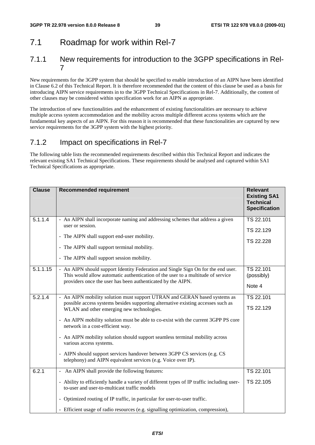## 7.1 Roadmap for work within Rel-7

## 7.1.1 New requirements for introduction to the 3GPP specifications in Rel-7

New requirements for the 3GPP system that should be specified to enable introduction of an AIPN have been identified in Clause 6.2 of this Technical Report. It is therefore recommended that the content of this clause be used as a basis for introducing AIPN service requirements in to the 3GPP Technical Specifications in Rel-7. Additionally, the content of other clauses may be considered within specification work for an AIPN as appropriate.

The introduction of new functionalities and the enhancement of existing functionalities are necessary to achieve multiple access system accommodation and the mobility across multiple different access systems which are the fundamental key aspects of an AIPN. For this reason it is recommended that these functionalities are captured by new service requirements for the 3GPP system with the highest priority.

## 7.1.2 Impact on specifications in Rel-7

The following table lists the recommended requirements described within this Technical Report and indicates the relevant existing SA1 Technical Specifications. These requirements should be analysed and captured within SA1 Technical Specifications as appropriate.

| <b>Clause</b> | <b>Recommended requirement</b>                                                                                                                                                                                                                                                                                                                                                                                                                                                                                                                                                                | <b>Relevant</b><br><b>Existing SA1</b><br><b>Technical</b><br><b>Specification</b> |
|---------------|-----------------------------------------------------------------------------------------------------------------------------------------------------------------------------------------------------------------------------------------------------------------------------------------------------------------------------------------------------------------------------------------------------------------------------------------------------------------------------------------------------------------------------------------------------------------------------------------------|------------------------------------------------------------------------------------|
| 5.1.1.4       | - An AIPN shall incorporate naming and addressing schemes that address a given<br>user or session.<br>- The AIPN shall support end-user mobility.<br>- The AIPN shall support terminal mobility.<br>- The AIPN shall support session mobility.                                                                                                                                                                                                                                                                                                                                                | TS 22.101<br>TS 22.129<br>TS 22.228                                                |
| 5.1.1.15      | - An AIPN should support Identity Federation and Single Sign On for the end user.<br>This would allow automatic authentication of the user to a multitude of service<br>providers once the user has been authenticated by the AIPN.                                                                                                                                                                                                                                                                                                                                                           | TS 22.101<br>(possibly)<br>Note 4                                                  |
| 5.2.1.4       | - An AIPN mobility solution must support UTRAN and GERAN based systems as<br>possible access systems besides supporting alternative existing accesses such as<br>WLAN and other emerging new technologies.<br>- An AIPN mobility solution must be able to co-exist with the current 3GPP PS core<br>network in a cost-efficient way.<br>- An AIPN mobility solution should support seamless terminal mobility across<br>various access systems.<br>- AIPN should support services handover between 3GPP CS services (e.g. CS<br>telephony) and AIPN equivalent services (e.g. Voice over IP). | TS 22.101<br>TS 22.129                                                             |
| 6.2.1         | - An AIPN shall provide the following features:<br>- Ability to efficiently handle a variety of different types of IP traffic including user-<br>to-user and user-to-multicast traffic models<br>- Optimized routing of IP traffic, in particular for user-to-user traffic.<br>- Efficient usage of radio resources (e.g. signalling optimization, compression),                                                                                                                                                                                                                              | TS 22.101<br>TS 22.105                                                             |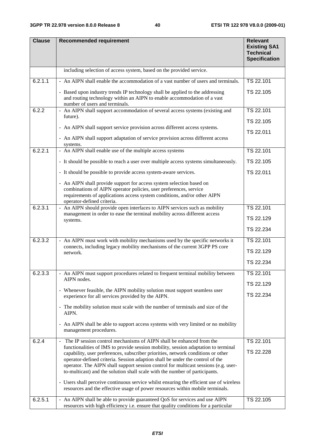| <b>Clause</b> | <b>Recommended requirement</b>                                                                                                                                                                                                                                                                                                                                                                                           | <b>Relevant</b><br><b>Existing SA1</b><br><b>Technical</b><br><b>Specification</b> |
|---------------|--------------------------------------------------------------------------------------------------------------------------------------------------------------------------------------------------------------------------------------------------------------------------------------------------------------------------------------------------------------------------------------------------------------------------|------------------------------------------------------------------------------------|
|               | including selection of access system, based on the provided service.                                                                                                                                                                                                                                                                                                                                                     |                                                                                    |
| 6.2.1.1       | - An AIPN shall enable the accommodation of a vast number of users and terminals.                                                                                                                                                                                                                                                                                                                                        | TS 22.101                                                                          |
|               | - Based upon industry trends IP technology shall be applied to the addressing<br>and routing technology within an AIPN to enable accommodation of a vast<br>number of users and terminals.                                                                                                                                                                                                                               | TS 22.105                                                                          |
| 6.2.2         | - An AIPN shall support accommodation of several access systems (existing and                                                                                                                                                                                                                                                                                                                                            | TS 22.101                                                                          |
|               | future).                                                                                                                                                                                                                                                                                                                                                                                                                 | TS 22.105                                                                          |
|               | - An AIPN shall support service provision across different access systems.                                                                                                                                                                                                                                                                                                                                               | TS 22.011                                                                          |
|               | - An AIPN shall support adaptation of service provision across different access<br>systems.                                                                                                                                                                                                                                                                                                                              |                                                                                    |
| 6.2.2.1       | - An AIPN shall enable use of the multiple access systems                                                                                                                                                                                                                                                                                                                                                                | TS 22.101                                                                          |
|               | - It should be possible to reach a user over multiple access systems simultaneously.                                                                                                                                                                                                                                                                                                                                     | TS 22.105                                                                          |
|               | - It should be possible to provide access system-aware services.                                                                                                                                                                                                                                                                                                                                                         | TS 22.011                                                                          |
|               | - An AIPN shall provide support for access system selection based on                                                                                                                                                                                                                                                                                                                                                     |                                                                                    |
|               | combinations of AIPN operator policies, user preferences, service<br>requirements of applications access system conditions, and/or other AIPN                                                                                                                                                                                                                                                                            |                                                                                    |
|               | operator-defined criteria.                                                                                                                                                                                                                                                                                                                                                                                               |                                                                                    |
| 6.2.3.1       | - An AIPN should provide open interfaces to AIPN services such as mobility<br>management in order to ease the terminal mobility across different access                                                                                                                                                                                                                                                                  | TS 22.101                                                                          |
|               | systems.                                                                                                                                                                                                                                                                                                                                                                                                                 | TS 22.129                                                                          |
|               |                                                                                                                                                                                                                                                                                                                                                                                                                          | TS 22.234                                                                          |
| 6.2.3.2       | - An AIPN must work with mobility mechanisms used by the specific networks it                                                                                                                                                                                                                                                                                                                                            | TS 22.101                                                                          |
|               | connects, including legacy mobility mechanisms of the current 3GPP PS core<br>network.                                                                                                                                                                                                                                                                                                                                   | TS 22.129                                                                          |
|               |                                                                                                                                                                                                                                                                                                                                                                                                                          | TS 22.234                                                                          |
| 6.2.3.3       | - An AIPN must support procedures related to frequent terminal mobility between                                                                                                                                                                                                                                                                                                                                          | TS 22.101                                                                          |
|               | AIPN nodes.                                                                                                                                                                                                                                                                                                                                                                                                              | TS 22.129                                                                          |
|               | - Whenever feasible, the AIPN mobility solution must support seamless user<br>experience for all services provided by the AIPN.                                                                                                                                                                                                                                                                                          | TS 22.234                                                                          |
|               | - The mobility solution must scale with the number of terminals and size of the<br>AIPN.                                                                                                                                                                                                                                                                                                                                 |                                                                                    |
|               | - An AIPN shall be able to support access systems with very limited or no mobility<br>management procedures.                                                                                                                                                                                                                                                                                                             |                                                                                    |
| 6.2.4         | - The IP session control mechanisms of AIPN shall be enhanced from the<br>functionalities of IMS to provide session mobility, session adaptation to terminal<br>capability, user preferences, subscriber priorities, network conditions or other<br>operator-defined criteria. Session adaption shall be under the control of the<br>operator. The AIPN shall support session control for multicast sessions (e.g. user- | TS 22.101<br>TS 22.228                                                             |
|               | to-multicast) and the solution shall scale with the number of participants.                                                                                                                                                                                                                                                                                                                                              |                                                                                    |
|               | - Users shall perceive continuous service whilst ensuring the efficient use of wireless<br>resources and the effective usage of power resources within mobile terminals.                                                                                                                                                                                                                                                 |                                                                                    |
| 6.2.5.1       | - An AIPN shall be able to provide guaranteed QoS for services and use AIPN<br>resources with high efficiency i.e. ensure that quality conditions for a particular                                                                                                                                                                                                                                                       | TS 22.105                                                                          |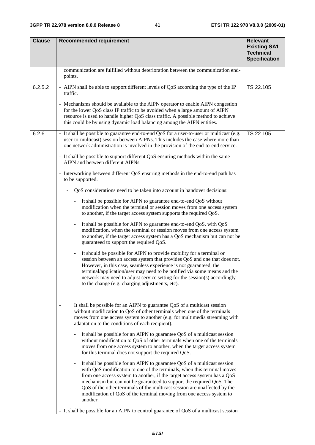| <b>Clause</b> | <b>Recommended requirement</b>                                                                                                                                                                                                                                                                                                                                                                                                                                                                                                                                                                                                                                                                                                                                                                                                                                                                                                                                                                                                                                                                                                                                                                                                                                                                                                                                                                                                                                                                                                                                                                                                                                                                                                                                                                                                                                                                                                                                                                                                                                                                                                                                                                                                                                                                                                                                                                                                                                                                                                                                                                                                                                                                  | <b>Relevant</b><br><b>Existing SA1</b><br><b>Technical</b><br><b>Specification</b> |
|---------------|-------------------------------------------------------------------------------------------------------------------------------------------------------------------------------------------------------------------------------------------------------------------------------------------------------------------------------------------------------------------------------------------------------------------------------------------------------------------------------------------------------------------------------------------------------------------------------------------------------------------------------------------------------------------------------------------------------------------------------------------------------------------------------------------------------------------------------------------------------------------------------------------------------------------------------------------------------------------------------------------------------------------------------------------------------------------------------------------------------------------------------------------------------------------------------------------------------------------------------------------------------------------------------------------------------------------------------------------------------------------------------------------------------------------------------------------------------------------------------------------------------------------------------------------------------------------------------------------------------------------------------------------------------------------------------------------------------------------------------------------------------------------------------------------------------------------------------------------------------------------------------------------------------------------------------------------------------------------------------------------------------------------------------------------------------------------------------------------------------------------------------------------------------------------------------------------------------------------------------------------------------------------------------------------------------------------------------------------------------------------------------------------------------------------------------------------------------------------------------------------------------------------------------------------------------------------------------------------------------------------------------------------------------------------------------------------------|------------------------------------------------------------------------------------|
|               | communication are fulfilled without deterioration between the communication end-<br>points.                                                                                                                                                                                                                                                                                                                                                                                                                                                                                                                                                                                                                                                                                                                                                                                                                                                                                                                                                                                                                                                                                                                                                                                                                                                                                                                                                                                                                                                                                                                                                                                                                                                                                                                                                                                                                                                                                                                                                                                                                                                                                                                                                                                                                                                                                                                                                                                                                                                                                                                                                                                                     |                                                                                    |
| 6.2.5.2       | - AIPN shall be able to support different levels of QoS according the type of the IP<br>traffic.<br>- Mechanisms should be available to the AIPN operator to enable AIPN congestion<br>for the lower QoS class IP traffic to be avoided when a large amount of AIPN<br>resource is used to handle higher QoS class traffic. A possible method to achieve<br>this could be by using dynamic load balancing among the AIPN entities.                                                                                                                                                                                                                                                                                                                                                                                                                                                                                                                                                                                                                                                                                                                                                                                                                                                                                                                                                                                                                                                                                                                                                                                                                                                                                                                                                                                                                                                                                                                                                                                                                                                                                                                                                                                                                                                                                                                                                                                                                                                                                                                                                                                                                                                              | TS 22.105                                                                          |
| 6.2.6         | - It shall be possible to guarantee end-to-end QoS for a user-to-user or multicast (e.g.<br>user-to-multicast) session between AIPNs. This includes the case where more than<br>one network administration is involved in the provision of the end-to-end service.<br>- It shall be possible to support different QoS ensuring methods within the same<br>AIPN and between different AIPNs.<br>- Interworking between different QoS ensuring methods in the end-to-end path has<br>to be supported.<br>QoS considerations need to be taken into account in handover decisions:<br>It shall be possible for AIPN to guarantee end-to-end QoS without<br>$\overline{\phantom{0}}$<br>modification when the terminal or session moves from one access system<br>to another, if the target access system supports the required QoS.<br>It shall be possible for AIPN to guarantee end-to-end QoS, with QoS<br>$\qquad \qquad \blacksquare$<br>modification, when the terminal or session moves from one access system<br>to another, if the target access system has a QoS mechanism but can not be<br>guaranteed to support the required QoS.<br>It should be possible for AIPN to provide mobility for a terminal or<br>session between an access system that provides QoS and one that does not.<br>However, in this case, seamless experience is not guaranteed, the<br>terminal/application/user may need to be notified via some means and the<br>network may need to adjust service setting for the session(s) accordingly<br>to the change (e.g. charging adjustments, etc).<br>It shall be possible for an AIPN to guarantee QoS of a multicast session<br>without modification to QoS of other terminals when one of the terminals<br>moves from one access system to another (e.g. for multimedia streaming with<br>adaptation to the conditions of each recipient).<br>It shall be possible for an AIPN to guarantee QoS of a multicast session<br>$\overline{\phantom{0}}$<br>without modification to QoS of other terminals when one of the terminals<br>moves from one access system to another, when the target access system<br>for this terminal does not support the required QoS.<br>It shall be possible for an AIPN to guarantee QoS of a multicast session<br>$\blacksquare$<br>with QoS modification to one of the terminals, when this terminal moves<br>from one access system to another, if the target access system has a QoS<br>mechanism but can not be guaranteed to support the required QoS. The<br>QoS of the other terminals of the multicast session are unaffected by the<br>modification of QoS of the terminal moving from one access system to<br>another. | TS 22.105                                                                          |
|               | - It shall be possible for an AIPN to control guarantee of QoS of a multicast session                                                                                                                                                                                                                                                                                                                                                                                                                                                                                                                                                                                                                                                                                                                                                                                                                                                                                                                                                                                                                                                                                                                                                                                                                                                                                                                                                                                                                                                                                                                                                                                                                                                                                                                                                                                                                                                                                                                                                                                                                                                                                                                                                                                                                                                                                                                                                                                                                                                                                                                                                                                                           |                                                                                    |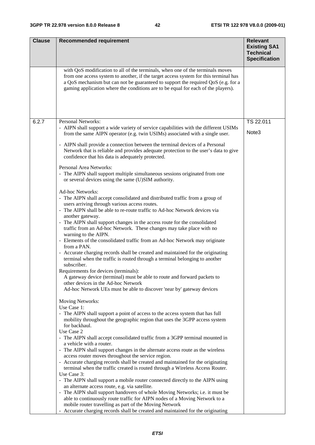| <b>Clause</b> | <b>Recommended requirement</b>                                                                                                                                                                                                                                                                                                                   | <b>Relevant</b><br><b>Existing SA1</b><br><b>Technical</b><br><b>Specification</b> |
|---------------|--------------------------------------------------------------------------------------------------------------------------------------------------------------------------------------------------------------------------------------------------------------------------------------------------------------------------------------------------|------------------------------------------------------------------------------------|
|               | with QoS modification to all of the terminals, when one of the terminals moves<br>from one access system to another, if the target access system for this terminal has<br>a QoS mechanism but can not be guaranteed to support the required QoS (e.g. for a<br>gaming application where the conditions are to be equal for each of the players). |                                                                                    |
| 6.2.7         | Personal Networks:                                                                                                                                                                                                                                                                                                                               | TS 22.011                                                                          |
|               | - AIPN shall support a wide variety of service capabilities with the different USIMs<br>from the same AIPN operator (e.g. twin USIMs) associated with a single user.                                                                                                                                                                             | Note3                                                                              |
|               | - AIPN shall provide a connection between the terminal devices of a Personal<br>Network that is reliable and provides adequate protection to the user's data to give<br>confidence that his data is adequately protected.                                                                                                                        |                                                                                    |
|               | Personal Area Networks:<br>- The AIPN shall support multiple simultaneous sessions originated from one<br>or several devices using the same (U)SIM authority.                                                                                                                                                                                    |                                                                                    |
|               | Ad-hoc Networks:                                                                                                                                                                                                                                                                                                                                 |                                                                                    |
|               | - The AIPN shall accept consolidated and distributed traffic from a group of<br>users arriving through various access routes.                                                                                                                                                                                                                    |                                                                                    |
|               | - The AIPN shall be able to re-route traffic to Ad-hoc Network devices via                                                                                                                                                                                                                                                                       |                                                                                    |
|               | another gateway.<br>- The AIPN shall support changes in the access route for the consolidated<br>traffic from an Ad-hoc Network. These changes may take place with no<br>warning to the AIPN.                                                                                                                                                    |                                                                                    |
|               | - Elements of the consolidated traffic from an Ad-hoc Network may originate<br>from a PAN.                                                                                                                                                                                                                                                       |                                                                                    |
|               | - Accurate charging records shall be created and maintained for the originating<br>terminal when the traffic is routed through a terminal belonging to another<br>subscriber.                                                                                                                                                                    |                                                                                    |
|               | Requirements for devices (terminals):                                                                                                                                                                                                                                                                                                            |                                                                                    |
|               | A gateway device (terminal) must be able to route and forward packets to<br>other devices in the Ad-hoc Network                                                                                                                                                                                                                                  |                                                                                    |
|               | Ad-hoc Network UEs must be able to discover 'near by' gateway devices                                                                                                                                                                                                                                                                            |                                                                                    |
|               | Moving Networks:<br>Use Case 1:                                                                                                                                                                                                                                                                                                                  |                                                                                    |
|               | - The AIPN shall support a point of access to the access system that has full<br>mobility throughout the geographic region that uses the 3GPP access system<br>for backhaul.                                                                                                                                                                     |                                                                                    |
|               | Use Case 2                                                                                                                                                                                                                                                                                                                                       |                                                                                    |
|               | - The AIPN shall accept consolidated traffic from a 3GPP terminal mounted in<br>a vehicle with a router.                                                                                                                                                                                                                                         |                                                                                    |
|               | - The AIPN shall support changes in the alternate access route as the wireless<br>access router moves throughout the service region.                                                                                                                                                                                                             |                                                                                    |
|               | - Accurate charging records shall be created and maintained for the originating<br>terminal when the traffic created is routed through a Wireless Access Router.                                                                                                                                                                                 |                                                                                    |
|               | Use Case 3:<br>- The AIPN shall support a mobile router connected directly to the AIPN using                                                                                                                                                                                                                                                     |                                                                                    |
|               | an alternate access route, e.g. via satellite.                                                                                                                                                                                                                                                                                                   |                                                                                    |
|               | - The AIPN shall support handovers of whole Moving Networks; i.e. it must be<br>able to continuously route traffic for AIPN nodes of a Moving Network to a                                                                                                                                                                                       |                                                                                    |
|               | mobile router travelling as part of the Moving Network<br>- Accurate charging records shall be created and maintained for the originating                                                                                                                                                                                                        |                                                                                    |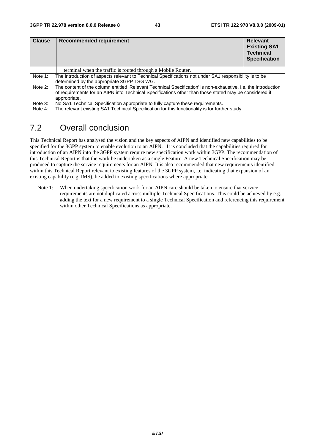| <b>Clause</b> | Recommended requirement                                                                                                                                                                                                                  | <b>Relevant</b><br><b>Existing SA1</b><br><b>Technical</b><br><b>Specification</b> |
|---------------|------------------------------------------------------------------------------------------------------------------------------------------------------------------------------------------------------------------------------------------|------------------------------------------------------------------------------------|
|               | terminal when the traffic is routed through a Mobile Router.                                                                                                                                                                             |                                                                                    |
| Note 1:       | The introduction of aspects relevant to Technical Specifications not under SA1 responsibility is to be<br>determined by the appropriate 3GPP TSG WG.                                                                                     |                                                                                    |
| Note 2:       | The content of the column entitled 'Relevant Technical Specification' is non-exhaustive, i.e. the introduction<br>of requirements for an AIPN into Technical Specifications other than those stated may be considered if<br>appropriate. |                                                                                    |
| Note 3:       | No SA1 Technical Specification appropriate to fully capture these requirements.                                                                                                                                                          |                                                                                    |
| Note 4:       | The relevant existing SA1 Technical Specification for this functionality is for further study.                                                                                                                                           |                                                                                    |

## 7.2 Overall conclusion

This Technical Report has analysed the vision and the key aspects of AIPN and identified new capabilities to be specified for the 3GPP system to enable evolution to an AIPN. It is concluded that the capabilities required for introduction of an AIPN into the 3GPP system require new specification work within 3GPP. The recommendation of this Technical Report is that the work be undertaken as a single Feature. A new Technical Specification may be produced to capture the service requirements for an AIPN. It is also recommended that new requirements identified within this Technical Report relevant to existing features of the 3GPP system, i.e. indicating that expansion of an existing capability (e.g. IMS), be added to existing specifications where appropriate.

Note 1: When undertaking specification work for an AIPN care should be taken to ensure that service requirements are not duplicated across multiple Technical Specifications. This could be achieved by e.g. adding the text for a new requirement to a single Technical Specification and referencing this requirement within other Technical Specifications as appropriate.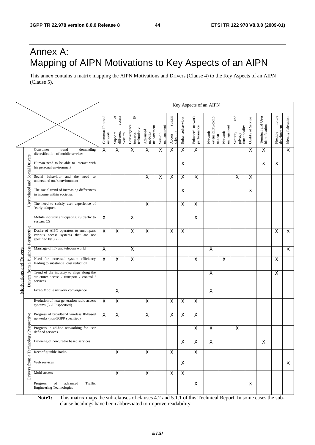## Annex A: Mapping of AIPN Motivations to Key Aspects of an AIPN

This annex contains a matrix mapping the AIPN Motivations and Drivers (Clause 4) to the Key Aspects of an AIPN (Clause 5).

|                                                |                                                                                                   |                            |                                                     |                                           |                                   |                       |                               |                         |                                 | Key Aspects of an AIPN                   |                         |                                             |                    |                                     |                                   |                         |
|------------------------------------------------|---------------------------------------------------------------------------------------------------|----------------------------|-----------------------------------------------------|-------------------------------------------|-----------------------------------|-----------------------|-------------------------------|-------------------------|---------------------------------|------------------------------------------|-------------------------|---------------------------------------------|--------------------|-------------------------------------|-----------------------------------|-------------------------|
|                                                |                                                                                                   | Common IP-based<br>network | of $\frac{d}{d}$<br>Support<br>different<br>systems | 凸<br>Convergence<br>towards<br>technology | managemen<br>Advanced<br>mobility | management<br>Session | system<br>selection<br>Access | Enhanced services       | Enhanced network<br>performance | Network<br>extensibility/comp<br>osition | management<br>Network   | and<br>functionality<br>Security<br>privacy | Quality of Service | Terminal and User<br>identification | future<br>development<br>Flexible | Identity federation     |
|                                                | Consumer<br>demanding<br>trend<br>diversification of mobile services                              | $\overline{\mathsf{x}}$    | $\mathsf X$                                         | $\pmb{\mathsf{X}}$                        | X                                 | X                     | X                             | $\mathsf X$             | $\overline{\mathsf{x}}$         |                                          |                         |                                             | X                  | X                                   |                                   | $\overline{\mathsf{X}}$ |
| <b>Social Drivers</b>                          | Human need to be able to interact with<br>his personal environment                                |                            |                                                     |                                           |                                   |                       |                               | X                       |                                 |                                          |                         |                                             |                    | X                                   | $\mathsf X$                       |                         |
| and                                            | Social behaviour and the<br>need to<br>understand one's environment                               |                            |                                                     |                                           | X                                 | X                     | $\pmb{\times}$                | $\pmb{\times}$          | X                               |                                          |                         | $\pmb{\times}$                              | X                  |                                     |                                   |                         |
| related                                        | The social trend of increasing differences<br>in income within societies                          |                            |                                                     |                                           |                                   |                       |                               | $\pmb{\times}$          |                                 |                                          |                         |                                             | X                  |                                     |                                   |                         |
| User                                           | The need to satisfy user experience of<br>'early-adopters'                                        |                            |                                                     |                                           | X                                 |                       |                               | $\mathsf X$             | $\pmb{\mathsf{X}}$              |                                          |                         |                                             |                    |                                     |                                   |                         |
|                                                | Mobile industry anticipating PS traffic to<br>surpass CS                                          | $\mathsf{X}$               |                                                     | $\boldsymbol{\mathsf{X}}$                 |                                   |                       |                               |                         | X                               |                                          |                         |                                             |                    |                                     |                                   |                         |
| <b>Business Perspective</b>                    | Desire of AIPN operators to encompass<br>various access systems that are not<br>specified by 3GPP | $\overline{\mathsf{x}}$    | $\overline{\mathsf{x}}$                             | $\boldsymbol{\mathsf{X}}$                 | X                                 |                       | X                             | $\mathsf X$             |                                 |                                          |                         |                                             |                    |                                     | X                                 | X                       |
|                                                | Marriage of IT- and telecom world                                                                 | $\mathsf{X}$               |                                                     | $\mathsf{X}$                              |                                   |                       |                               |                         |                                 | X                                        |                         |                                             |                    |                                     |                                   | $\overline{X}$          |
| $\mathbf{\tilde{z}}$                           | Need for increased system efficiency<br>leading to substantial cost reduction                     | $\overline{\mathsf{x}}$    | $\overline{\mathsf{x}}$                             | $\overline{\mathsf{x}}$                   |                                   |                       |                               |                         | $\overline{\mathsf{x}}$         |                                          | $\overline{\mathsf{x}}$ |                                             |                    |                                     | X                                 |                         |
| <b>Motivations and Drivers</b><br>Drivers from | Trend of the industry to align along the<br>structure: access / transport / control /<br>services |                            |                                                     |                                           |                                   |                       |                               |                         |                                 | X                                        |                         |                                             |                    |                                     | X                                 |                         |
|                                                | Fixed/Mobile network convergence                                                                  |                            | $\overline{\mathsf{x}}$                             |                                           |                                   |                       |                               |                         |                                 | $\overline{\mathsf{x}}$                  |                         |                                             |                    |                                     |                                   |                         |
|                                                | Evolution of next generation radio access<br>systems (3GPP specified)                             | $\boldsymbol{\mathsf{X}}$  | $\mathsf{X}$                                        |                                           | $\mathsf{X}$                      |                       | $\mathsf X$                   | $\overline{\mathsf{x}}$ | $\overline{\mathsf{X}}$         |                                          |                         |                                             |                    |                                     |                                   |                         |
|                                                | Progress of broadband wireless IP-based<br>networks (non-3GPP specified)                          | $\boldsymbol{\mathsf{X}}$  | $\pmb{\times}$                                      |                                           | $\pmb{\times}$                    |                       | X                             | $\mathsf X$             | $\pmb{\mathsf{X}}$              |                                          |                         |                                             |                    |                                     |                                   |                         |
| gy Perspective                                 | Progress in ad-hoc networking for user<br>defined services.                                       |                            |                                                     |                                           |                                   |                       |                               |                         | $\pmb{\mathsf{X}}$              | $\pmb{\mathsf{X}}$                       |                         | $\pmb{\times}$                              |                    |                                     |                                   |                         |
| a Technol                                      | Dawning of new, radio based services                                                              |                            |                                                     |                                           |                                   |                       |                               | X                       | X                               | X                                        |                         |                                             |                    | X                                   |                                   |                         |
|                                                | Reconfigurable Radio                                                                              |                            | $\mathsf{X}$                                        |                                           | $\mathsf X$                       |                       | $\mathsf{X}$                  |                         | $\mathsf{X}$                    |                                          |                         |                                             |                    |                                     |                                   |                         |
| from                                           | Web services                                                                                      |                            |                                                     |                                           |                                   |                       |                               | X                       |                                 |                                          |                         |                                             |                    |                                     |                                   | X                       |
| Drivers                                        | Multi-access                                                                                      |                            | $\mathsf{X}$                                        |                                           | $\overline{\mathsf{x}}$           |                       | $\overline{\mathsf{x}}$       | $\overline{\mathsf{x}}$ |                                 |                                          |                         |                                             |                    |                                     |                                   |                         |
|                                                | Progress<br>of<br>advanced<br>Traffic<br><b>Engineering Technologies</b>                          |                            |                                                     |                                           |                                   |                       |                               |                         | $\pmb{\times}$                  |                                          |                         |                                             | $\mathsf{X}$       |                                     |                                   |                         |

**Note1:** This matrix maps the sub-clauses of clauses 4.2 and 5.1.1 of this Technical Report. In some cases the subclause headings have been abbreviated to improve readability.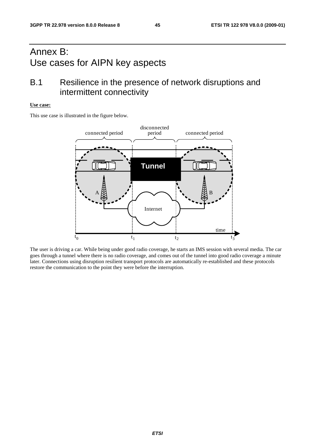## Annex B: Use cases for AIPN key aspects

## B.1 Resilience in the presence of network disruptions and intermittent connectivity

### **Use case:**

This use case is illustrated in the figure below.



The user is driving a car. While being under good radio coverage, he starts an IMS session with several media. The car goes through a tunnel where there is no radio coverage, and comes out of the tunnel into good radio coverage a minute later. Connections using disruption resilient transport protocols are automatically re-established and these protocols restore the communication to the point they were before the interruption.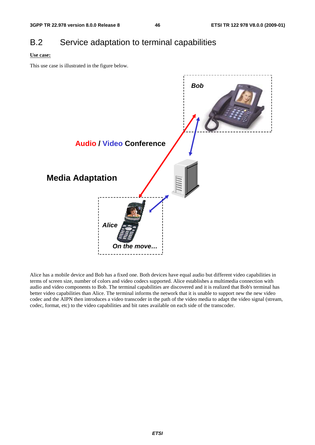## B.2 Service adaptation to terminal capabilities

### **Use case:**

This use case is illustrated in the figure below.



Alice has a mobile device and Bob has a fixed one. Both devices have equal audio but different video capabilities in terms of screen size, number of colors and video codecs supported. Alice establishes a multimedia connection with audio and video components to Bob. The terminal capabilities are discovered and it is realized that Bob's terminal has better video capabilities than Alice. The terminal informs the network that it is unable to support new the new video codec and the AIPN then introduces a video transcoder in the path of the video media to adapt the video signal (stream, codec, format, etc) to the video capabilities and bit rates available on each side of the transcoder.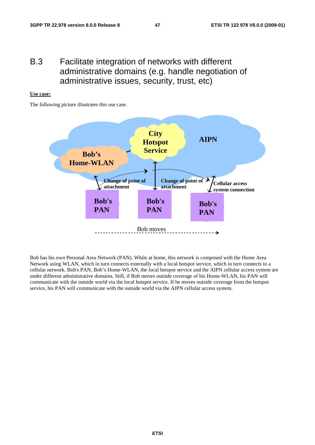## B.3 Facilitate integration of networks with different administrative domains (e.g. handle negotiation of administrative issues, security, trust, etc)

### **Use case:**

The following picture illustrates this use case.



Bob has his own Personal Area Network (PAN). While at home, this network is composed with the Home Area Network using WLAN, which in turn connects externally with a local hotspot service, which in turn connects to a cellular network. Bob's PAN, Bob's Home-WLAN, the local hotspot service and the AIPN cellular access system are under different administrative domains. Still, if Bob moves outside coverage of his Home-WLAN, his PAN will communicate with the outside world via the local hotspot service. If he moves outside coverage from the hotspot service, his PAN will communicate with the outside world via the AIPN cellular access system.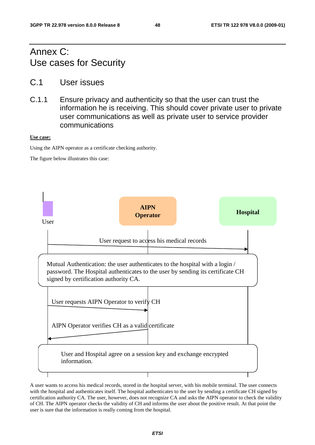## Annex C: Use cases for Security

- C.1 User issues
- C.1.1 Ensure privacy and authenticity so that the user can trust the information he is receiving. This should cover private user to private user communications as well as private user to service provider communications

### **Use case:**

Using the AIPN operator as a certificate checking authority.

The figure below illustrates this case:



A user wants to access his medical records, stored in the hospital server, with his mobile terminal. The user connects with the hospital and authenticates itself. The hospital authenticates to the user by sending a certificate CH signed by certification authority CA. The user, however, does not recognize CA and asks the AIPN operator to check the validity of CH. The AIPN operator checks the validity of CH and informs the user about the positive result. At that point the user is sure that the information is really coming from the hospital.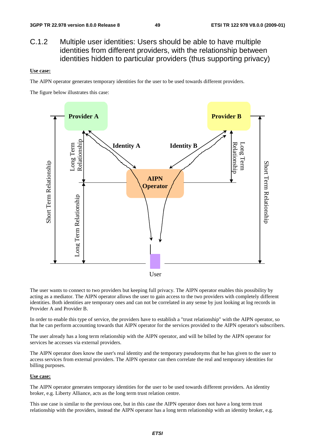## C.1.2 Multiple user identities: Users should be able to have multiple identities from different providers, with the relationship between identities hidden to particular providers (thus supporting privacy)

#### **Use case:**

The AIPN operator generates temporary identities for the user to be used towards different providers.

The figure below illustrates this case:



The user wants to connect to two providers but keeping full privacy. The AIPN operator enables this possibility by acting as a mediator. The AIPN operator allows the user to gain access to the two providers with completely different identities. Both identities are temporary ones and can not be correlated in any sense by just looking at log records in Provider A and Provider B.

In order to enable this type of service, the providers have to establish a "trust relationship" with the AIPN operator, so that he can perform accounting towards that AIPN operator for the services provided to the AIPN operator's subscribers.

The user already has a long term relationship with the AIPN operator, and will be billed by the AIPN operator for services he accesses via external providers.

The AIPN operator does know the user's real identity and the temporary pseudonyms that he has given to the user to access services from external providers. The AIPN operator can then correlate the real and temporary identities for billing purposes.

#### **Use case:**

The AIPN operator generates temporary identities for the user to be used towards different providers. An identity broker, e.g. Liberty Alliance, acts as the long term trust relation centre.

This use case is similar to the previous one, but in this case the AIPN operator does not have a long term trust relationship with the providers, instead the AIPN operator has a long term relationship with an identity broker, e.g.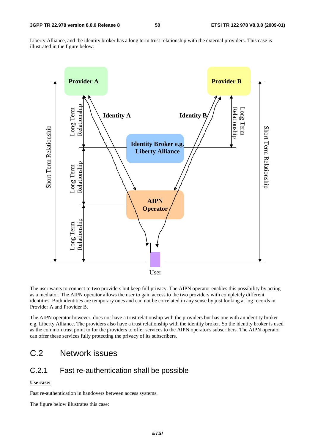Liberty Alliance, and the identity broker has a long term trust relationship with the external providers. This case is illustrated in the figure below:



The user wants to connect to two providers but keep full privacy. The AIPN operator enables this possibility by acting as a mediator. The AIPN operator allows the user to gain access to the two providers with completely different identities. Both identities are temporary ones and can not be correlated in any sense by just looking at log records in Provider A and Provider B.

The AIPN operator however, does not have a trust relationship with the providers but has one with an identity broker e.g. Liberty Alliance. The providers also have a trust relationship with the identity broker. So the identity broker is used as the common trust point to for the providers to offer services to the AIPN operator's subscribers. The AIPN operator can offer these services fully protecting the privacy of its subscribers.

## C.2 Network issues

## C.2.1 Fast re-authentication shall be possible

### **Use case:**

Fast re-authentication in handovers between access systems.

The figure below illustrates this case: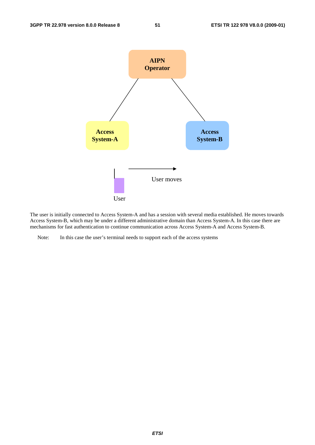

The user is initially connected to Access System-A and has a session with several media established. He moves towards Access System-B, which may be under a different administrative domain than Access System-A. In this case there are mechanisms for fast authentication to continue communication across Access System-A and Access System-B.

Note: In this case the user's terminal needs to support each of the access systems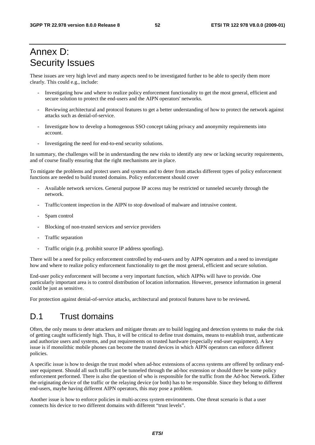## Annex D: Security Issues

These issues are very high level and many aspects need to be investigated further to be able to specify them more clearly. This could e.g., include:

- Investigating how and where to realize policy enforcement functionality to get the most general, efficient and secure solution to protect the end-users and the AIPN operators' networks.
- Reviewing architectural and protocol features to get a better understanding of how to protect the network against attacks such as denial-of-service.
- Investigate how to develop a homogenous SSO concept taking privacy and anonymity requirements into account.
- Investigating the need for end-to-end security solutions.

In summary, the challenges will be in understanding the new risks to identify any new or lacking security requirements, and of course finally ensuring that the right mechanisms are in place.

To mitigate the problems and protect users and systems and to deter from attacks different types of policy enforcement functions are needed to build trusted domains. Policy enforcement should cover

- Available network services. General purpose IP access may be restricted or tunneled securely through the network.
- Traffic/content inspection in the AIPN to stop download of malware and intrusive content.
- Spam control
- Blocking of non-trusted services and service providers
- Traffic separation
- Traffic origin (e.g. prohibit source IP address spoofing).

There will be a need for policy enforcement controlled by end-users and by AIPN operators and a need to investigate how and where to realize policy enforcement functionality to get the most general, efficient and secure solution.

End-user policy enforcement will become a very important function, which AIPNs will have to provide. One particularly important area is to control distribution of location information. However, presence information in general could be just as sensitive.

For protection against denial-of-service attacks, architectural and protocol features have to be reviewed**.** 

## D.1 Trust domains

Often, the only means to deter attackers and mitigate threats are to build logging and detection systems to make the risk of getting caught sufficiently high. Thus, it will be critical to define trust domains, means to establish trust, authenticate and authorize users and systems, and put requirements on trusted hardware (especially end-user equipment). A key issue is if monolithic mobile phones can become the trusted devices in which AIPN operators can enforce different policies.

A specific issue is how to design the trust model when ad-hoc extensions of access systems are offered by ordinary enduser equipment. Should all such traffic just be tunneled through the ad-hoc extension or should there be some policy enforcement performed. There is also the question of who is responsible for the traffic from the Ad-hoc Network. Either the originating device of the traffic or the relaying device (or both) has to be responsible. Since they belong to different end-users, maybe having different AIPN operators, this may pose a problem.

Another issue is how to enforce policies in multi-access system environments. One threat scenario is that a user connects his device to two different domains with different "trust levels".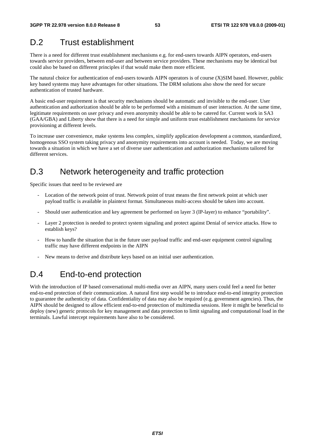## D.2 Trust establishment

There is a need for different trust establishment mechanisms e.g. for end-users towards AIPN operators, end-users towards service providers, between end-user and between service providers. These mechanisms may be identical but could also be based on different principles if that would make them more efficient.

The natural choice for authentication of end-users towards AIPN operators is of course (X)SIM based. However, public key based systems may have advantages for other situations. The DRM solutions also show the need for secure authentication of trusted hardware.

A basic end-user requirement is that security mechanisms should be automatic and invisible to the end-user. User authentication and authorization should be able to be performed with a minimum of user interaction. At the same time, legitimate requirements on user privacy and even anonymity should be able to be catered for. Current work in SA3 (GAA/GBA) and Liberty show that there is a need for simple and uniform trust establishment mechanisms for service provisioning at different levels.

To increase user convenience, make systems less complex, simplify application development a common, standardized, homogenous SSO system taking privacy and anonymity requirements into account is needed. Today, we are moving towards a situation in which we have a set of diverse user authentication and authorization mechanisms tailored for different services.

## D.3 Network heterogeneity and traffic protection

Specific issues that need to be reviewed are

- Location of the network point of trust. Network point of trust means the first network point at which user payload traffic is available in plaintext format. Simultaneous multi-access should be taken into account.
- Should user authentication and key agreement be performed on layer 3 (IP-layer) to enhance "portability".
- Layer 2 protection is needed to protect system signaling and protect against Denial of service attacks. How to establish keys?
- How to handle the situation that in the future user payload traffic and end-user equipment control signaling traffic may have different endpoints in the AIPN
- New means to derive and distribute keys based on an initial user authentication.

## D.4 End-to-end protection

With the introduction of IP based conversational multi-media over an AIPN, many users could feel a need for better end-to-end protection of their communication. A natural first step would be to introduce end-to-end integrity protection to guarantee the authenticity of data. Confidentiality of data may also be required (e.g. government agencies). Thus, the AIPN should be designed to allow efficient end-to-end protection of multimedia sessions. Here it might be beneficial to deploy (new) generic protocols for key management and data protection to limit signaling and computational load in the terminals. Lawful intercept requirements have also to be considered.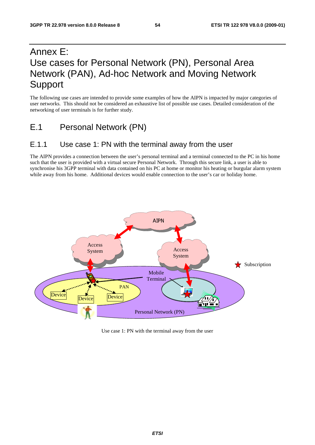## Annex E: Use cases for Personal Network (PN), Personal Area Network (PAN), Ad-hoc Network and Moving Network Support

The following use cases are intended to provide some examples of how the AIPN is impacted by major categories of user networks. This should not be considered an exhaustive list of possible use cases. Detailed consideration of the networking of user terminals is for further study.

E.1 Personal Network (PN)

## E.1.1 Use case 1: PN with the terminal away from the user

The AIPN provides a connection between the user's personal terminal and a terminal connected to the PC in his home such that the user is provided with a virtual secure Personal Network. Through this secure link, a user is able to synchronise his 3GPP terminal with data contained on his PC at home or monitor his heating or burgular alarm system while away from his home. Additional devices would enable connection to the user's car or holiday home.



Use case 1: PN with the terminal away from the user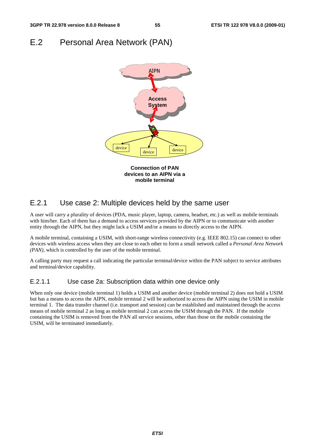## E.2 Personal Area Network (PAN)



## E.2.1 Use case 2: Multiple devices held by the same user

A user will carry a plurality of devices (PDA, music player, laptop, camera, headset, etc.) as well as mobile terminals with him/her. Each of them has a demand to access services provided by the AIPN or to communicate with another entity through the AIPN, but they might lack a USIM and/or a means to directly access to the AIPN.

A mobile terminal, containing a USIM, with short-range wireless connectivity (e.g. IEEE 802.15) can connect to other devices with wireless access when they are close to each other to form a small network called a *Personal Area Network (PAN),* which is controlled by the user of the mobile terminal.

A calling party may request a call indicating the particular terminal/device within the PAN subject to service attributes and terminal/device capability.

## E.2.1.1 Use case 2a: Subscription data within one device only

When only one device (mobile terminal 1) holds a USIM and another device (mobile terminal 2) does not hold a USIM but has a means to access the AIPN, mobile terminal 2 will be authorized to access the AIPN using the USIM in mobile terminal 1. The data transfer channel (i.e. transport and session) can be established and maintained through the access means of mobile terminal 2 as long as mobile terminal 2 can access the USIM through the PAN. If the mobile containing the USIM is removed from the PAN all service sessions, other than those on the mobile containing the USIM, will be terminated immediately.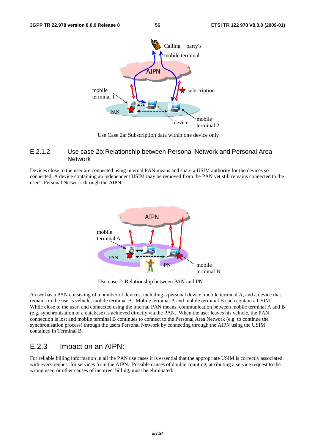

Use Case 2a: Subscription data within one device only

### E.2.1.2 Use case 2b: Relationship between Personal Network and Personal Area **Network**

Devices close to the user are connected using internal PAN means and share a USIM authority for the devices so connected. A device containing an independent USIM may be removed from the PAN yet still remains connected to the user's Personal Network through the AIPN.



Use case 2: Relationship between PAN and PN

A user has a PAN consisting of a number of devices, including a personal device, mobile terminal A, and a device that remains in the user's vehicle, mobile terminal B. Mobile terminal A and mobile terminal B each contain a USIM. While close to the user, and connected using the internal PAN means, communication between mobile terminal A and B (e.g. synchronisation of a database) is achieved directly via the PAN. When the user leaves his vehicle, the PAN connection is lost and mobile terminal B continues to connect to the Personal Area Network (e.g. to continue the synchronisation process) through the users Personal Network by connecting through the AIPN using the USIM contained in Terminal B.

## E.2.3 Impact on an AIPN:

For reliable billing information in all the PAN use cases it is essential that the appropriate USIM is correctly associated with every request for services from the AIPN. Possible causes of double counting, attributing a service request to the wrong user, or other causes of incorrect billing, must be eliminated.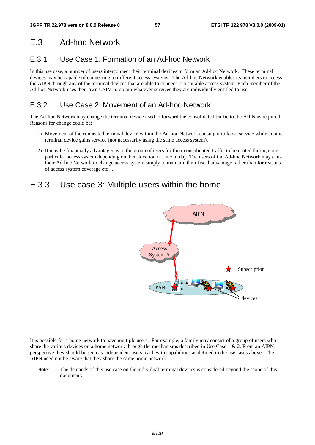## E.3 Ad-hoc Network

## E.3.1 Use Case 1: Formation of an Ad-hoc Network

In this use case, a number of users interconnect their terminal devices to form an Ad-hoc Network. These terminal devices may be capable of connecting to different access systems. The Ad-hoc Network enables its members to access the AIPN through any of the terminal devices that are able to connect to a suitable access system. Each member of the Ad-hoc Network uses their own USIM to obtain whatever services they are individually entitled to use.

## E.3.2 Use Case 2: Movement of an Ad-hoc Network

The Ad-hoc Network may change the terminal device used to forward the consolidated traffic to the AIPN as required. Reasons for change could be;

- 1) Movement of the connected terminal device within the Ad-hoc Network causing it to loose service while another terminal device gains service (not necessarily using the same access system).
- 2) It may be financially advantageous to the group of users for their consolidated traffic to be routed through one particular access system depending on their location or time of day. The users of the Ad-hoc Network may cause their Ad-hoc Network to change access system simply to maintain their fiscal advantage rather than for reasons of access system coverage etc…

## E.3.3 Use case 3: Multiple users within the home



It is possible for a home network to have multiple users. For example, a family may consist of a group of users who share the various devices on a home network through the mechanisms described in Use Case  $1 \& 2$ . From an AIPN perspective they should be seen as independent users, each with capabilities as defined in the use cases above. The AIPN need not be aware that they share the same home network.

Note: The demands of this use case on the individual terminal devices is considered beyond the scope of this document.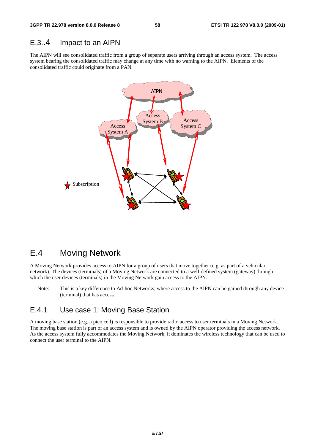## E.3..4 Impact to an AIPN

The AIPN will see consolidated traffic from a group of separate users arriving through an access system. The access system bearing the consolidated traffic may change at any time with no warning to the AIPN. Elements of the consolidated traffic could originate from a PAN.



## E.4 Moving Network

A Moving Network provides access to AIPN for a group of users that move together (e.g. as part of a vehicular network). The devices (terminals) of a Moving Network are connected to a well-defined system (gateway) through which the user devices (terminals) in the Moving Network gain access to the AIPN.

Note: This is a key difference to Ad-hoc Networks, where access to the AIPN can be gained through any device (terminal) that has access.

## E.4.1 Use case 1: Moving Base Station

A moving base station (e.g. a pico cell) is responsible to provide radio access to user terminals in a Moving Network. The moving base station is part of an access system and is owned by the AIPN operator providing the access network. As the access system fully accommodates the Moving Network, it dominates the wireless technology that can be used to connect the user terminal to the AIPN.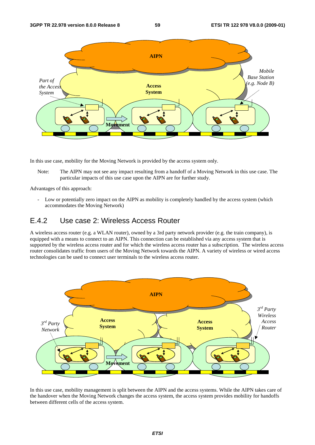

In this use case, mobility for the Moving Network is provided by the access system only.

Note: The AIPN may not see any impact resulting from a handoff of a Moving Network in this use case. The particular impacts of this use case upon the AIPN are for further study.

Advantages of this approach:

- Low or potentially zero impact on the AIPN as mobility is completely handled by the access system (which accommodates the Moving Network)

## E.4.2 Use case 2: Wireless Access Router

A wireless access router (e.g. a WLAN router), owned by a 3rd party network provider (e.g. the train company), is equipped with a means to connect to an AIPN. This connection can be established via any access system that is supported by the wireless access router and for which the wireless access router has a subscription. The wireless access router consolidates traffic from users of the Moving Network towards the AIPN. A variety of wireless or wired access technologies can be used to connect user terminals to the wireless access router.



In this use case, mobility management is split between the AIPN and the access systems. While the AIPN takes care of the handover when the Moving Network changes the access system, the access system provides mobility for handoffs between different cells of the access system.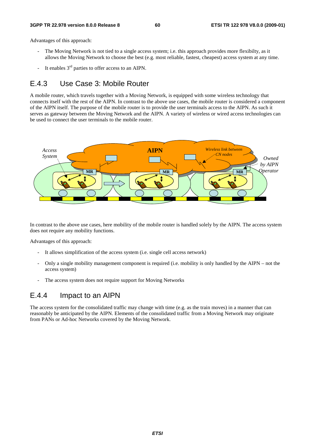#### **3GPP TR 22.978 version 8.0.0 Release 8 60 ETSI TR 122 978 V8.0.0 (2009-01)**

Advantages of this approach:

- The Moving Network is not tied to a single access system; i.e. this approach provides more flexibilty, as it allows the Moving Network to choose the best (e.g. most reliable, fastest, cheapest) access system at any time.
- It enables  $3<sup>rd</sup>$  parties to offer access to an AIPN.

## E.4.3 Use Case 3: Mobile Router

A mobile router, which travels together with a Moving Network, is equipped with some wireless technology that connects itself with the rest of the AIPN. In contrast to the above use cases, the mobile router is considered a component of the AIPN itself. The purpose of the mobile router is to provide the user terminals access to the AIPN. As such it serves as gateway between the Moving Network and the AIPN. A variety of wireless or wired access technologies can be used to connect the user terminals to the mobile router.



In contrast to the above use cases, here mobility of the mobile router is handled solely by the AIPN. The access system does not require any mobility functions.

Advantages of this approach:

- It allows simplification of the access system (i.e. single cell access network)
- Only a single mobility management component is required (i.e. mobility is only handled by the AIPN not the access system)
- The access system does not require support for Moving Networks

## E.4.4 Impact to an AIPN

The access system for the consolidated traffic may change with time (e.g. as the train moves) in a manner that can reasonably be anticipated by the AIPN. Elements of the consolidated traffic from a Moving Network may originate from PANs or Ad-hoc Networks covered by the Moving Network.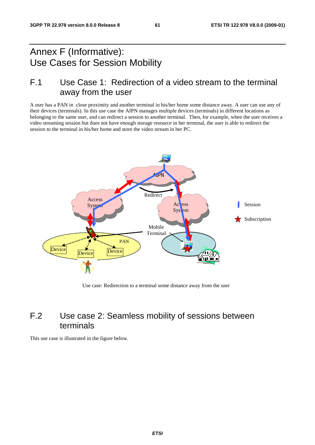## Annex F (Informative): Use Cases for Session Mobility

## F.1 Use Case 1: Redirection of a video stream to the terminal away from the user

A user has a PAN in close proximity and another terminal in his/her home some distance away. A user can use any of their devices (terminals). In this use case the AIPN manages multiple devices (terminals) in different locations as belonging to the same user, and can redirect a session to another terminal. Then, for example, when the user receives a video streaming session but does not have enough storage resource in her terminal, the user is able to redirect the session to the terminal in his/her home and store the video stream in her PC.



Use case: Redirection to a terminal some distance away from the user

## F.2 Use case 2: Seamless mobility of sessions between terminals

This use case is illustrated in the figure below.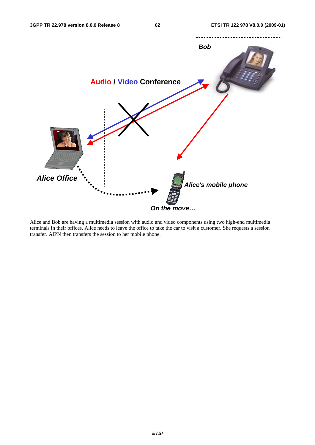

Alice and Bob are having a multimedia session with audio and video components using two high-end multimedia terminals in their offices. Alice needs to leave the office to take the car to visit a customer. She requests a session transfer. AIPN then transfers the session to her mobile phone.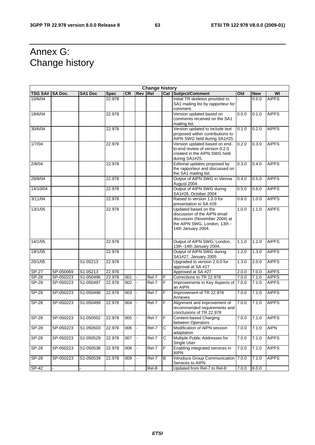## Annex G: Change history

|                 | <b>Change history</b> |                |             |           |            |                     |                |                                                                                                                                             |       |            |              |
|-----------------|-----------------------|----------------|-------------|-----------|------------|---------------------|----------------|---------------------------------------------------------------------------------------------------------------------------------------------|-------|------------|--------------|
| TSG SA# SA Doc. |                       | <b>SA1 Doc</b> | <b>Spec</b> | <b>CR</b> | <b>Rev</b> | Re <sub>l</sub>     |                | <b>Cat Subject/Comment</b>                                                                                                                  | Old   | <b>New</b> | WI           |
| 10/6/04         |                       |                | 22.978      |           |            |                     |                | Initial TR skeleton provided to<br>SA1 mailing list by rapporteur for<br>comment.                                                           |       | 0.0.0      | <b>AIPFS</b> |
| 18/6/04         |                       |                | 22.978      |           |            |                     |                | Version updated based on<br>comments received on the SA1<br>mailing list.                                                                   | 0.0.0 | 0.1.0      | <b>AIPFS</b> |
| 30/6/04         |                       |                | 22.978      |           |            |                     |                | Version updated to include text<br>proposed within contributions to<br>AIPN SWG held during SA1#25.                                         | 0.1.0 | 0.2.0      | <b>AIPFS</b> |
| 1/7/04          |                       |                | 22.978      |           |            |                     |                | Version updated based on end-<br>to-end review of version 0.2.0<br>created in the AIPN SWG held<br>during SA1#25.                           | 0.2.0 | 0.3.0      | <b>AIPFS</b> |
| 2/8/04          |                       |                | 22.978      |           |            |                     |                | Editorial updates proposed by<br>the rapporteur and discussed on<br>the SA1 mailing list.                                                   | 0.3.0 | 0.4.0      | <b>AIPFS</b> |
| 28/8/04         |                       |                | 22.978      |           |            |                     |                | Output of AIPN SWG in Vienna<br>August 2004                                                                                                 | 0.4.0 | 0.5.0      | <b>AIPFS</b> |
| 14/10/04        |                       |                | 22.978      |           |            |                     |                | Output of AIPN SWG during<br>SA1#26, October 2004                                                                                           | 0.5.0 | 0.6.0      | <b>AIPFS</b> |
| 3/11/04         |                       |                | 22.978      |           |            |                     |                | Raised to version 1.0.0 for<br>presentation to SA #26                                                                                       | 0.6.0 | 1.0.0      | <b>AIPFS</b> |
| 13/1/05         |                       |                | 22.978      |           |            |                     |                | Updated based on the<br>discussion of the AIPN email<br>discussion (November 2004) at<br>the AIPN SWG, London, 13th -<br>14th January 2004. | 1.0.0 | 1.1.0      | <b>AIPFS</b> |
| 14/1/05         |                       |                | 22.978      |           |            |                     |                | Output of AIPN SWG, London,<br>13th -14th January 2004.                                                                                     | 1.1.0 | 1.2.0      | <b>AIPFS</b> |
| 19/1/05         |                       |                | 22.978      |           |            |                     |                | Output of AIPN SWG during<br>SA1#27, January 2005                                                                                           | 1.2.0 | 1.3.0      | <b>AIPFS</b> |
| 20/1/05         |                       | S1-05213       | 22.978      |           |            |                     |                | Upgraded to version 2.0.0 for<br>approval at SA #27                                                                                         | 1.3.0 | 2.0.0      | <b>AIPFS</b> |
| $SP-27$         | SP-050069             | S1-05213       | 22.978      |           |            |                     |                | Approved at SA #27                                                                                                                          | 2.0.0 | 7.0.0      | <b>AIPFS</b> |
| $SP-28$         | SP-050223             | S1-050496      | 22.978      | 001       |            | Rel-7               | F              | Corrections to TR 22.978                                                                                                                    | 7.0.0 | 7.1.0      | <b>AIPFS</b> |
| $SP-28$         | SP-050223             | S1-050497      | 22.978      | 002       |            | Rel-7               | F              | Improvements to Key Aspects of 7.0.0<br>an AIPN                                                                                             |       | 7.1.0      | <b>AIPFS</b> |
| $S P - 28$      | SP-050223             | S1-050498      | 22.978      | 003       |            | $\overline{Rel}$ -7 | F              | Improvement of TR 22.978<br>Annexes                                                                                                         | 7.0.0 | 7.1.0      | <b>AIPFS</b> |
| <b>SP-28</b>    | SP-050223             | S1-050499      | 22.978      | 004       |            | $\overline{Rel}$ -7 | F              | Alignment and improvement of<br>recommended requirements and<br>conclusions of TR 22.978                                                    | 7.0.0 | 7.1.0      | <b>AIPFS</b> |
| <b>SP-28</b>    | SP-050223             | S1-050502      | 22.978      | 005       |            | Rel-7               | F              | Content-based Charging<br>between Operators                                                                                                 | 7.0.0 | 7.1.0      | <b>AIPFS</b> |
| $SP-28$         | SP-050223             | S1-050503      | 22.978      | 006       |            | Rel-7               | $\overline{C}$ | Modification of AIPN session<br>adaptation                                                                                                  | 7.0.0 | 7.1.0      | <b>AIPN</b>  |
| $SP-28$         | SP-050223             | S1-050529      | 22.978      | 007       |            | Rel-7               | C              | Multiple Public Addresses for<br>Single User                                                                                                | 7.0.0 | 7.1.0      | <b>AIPFS</b> |
| $SP-28$         | SP-050223             | S1-050538      | 22.978      | 008       |            | Rel-7               | F              | Enabling integrated services in<br><b>AIPN</b>                                                                                              | 7.0.0 | 7.1.0      | <b>AIPFS</b> |
| <b>SP-28</b>    | SP-050223             | S1-050539      | 22.978      | 009       |            | Rel-7               | $\, {\bf B}$   | Introduce Group Communication 7.0.0<br>Services to AIPN                                                                                     |       | 7.1.0      | <b>AIPFS</b> |
| $SP-42$         |                       |                |             |           |            | Rel-8               |                | Updated from Rel-7 to Rel-8                                                                                                                 | 7.0.0 | 8.0.0      |              |